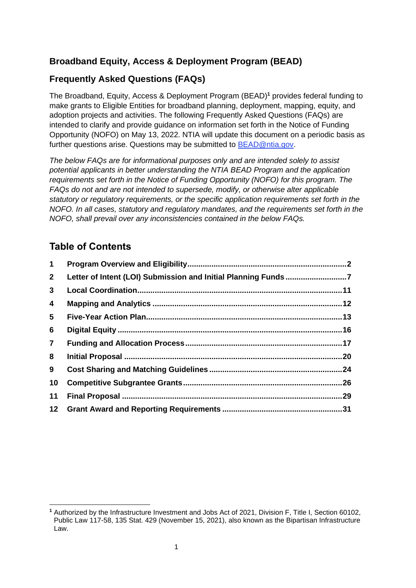# **Broadband Equity, Access & Deployment Program (BEAD)**

# **Frequently Asked Questions (FAQs)**

The Broadband, Equity, Access & Deployment Program (BEAD)**<sup>1</sup>** provides federal funding to make grants to Eligible Entities for broadband planning, deployment, mapping, equity, and adoption projects and activities. The following Frequently Asked Questions (FAQs) are intended to clarify and provide guidance on information set forth in the Notice of Funding Opportunity (NOFO) on May 13, 2022. NTIA will update this document on a periodic basis as further questions arise. Questions may be submitted to [BEAD@ntia.gov.](mailto:BEAD@ntia.gov)

*The below FAQs are for informational purposes only and are intended solely to assist potential applicants in better understanding the NTIA BEAD Program and the application requirements set forth in the Notice of Funding Opportunity (NOFO) for this program. The FAQs do not and are not intended to supersede, modify, or otherwise alter applicable statutory or regulatory requirements, or the specific application requirements set forth in the NOFO. In all cases, statutory and regulatory mandates, and the requirements set forth in the NOFO, shall prevail over any inconsistencies contained in the below FAQs.*

# **Table of Contents**

| $\mathbf 1$    |  |
|----------------|--|
| $\mathbf{2}$   |  |
| $\mathbf{3}$   |  |
| 4              |  |
| 5 <sup>5</sup> |  |
| 6              |  |
| $\overline{7}$ |  |
| 8              |  |
| 9              |  |
| 10             |  |
| 11             |  |
|                |  |

<span id="page-0-0"></span>**<sup>1</sup>** Authorized by the Infrastructure Investment and Jobs Act of 2021, Division F, Title I, Section 60102, Public Law 117-58, 135 Stat. 429 (November 15, 2021), also known as the Bipartisan Infrastructure Law.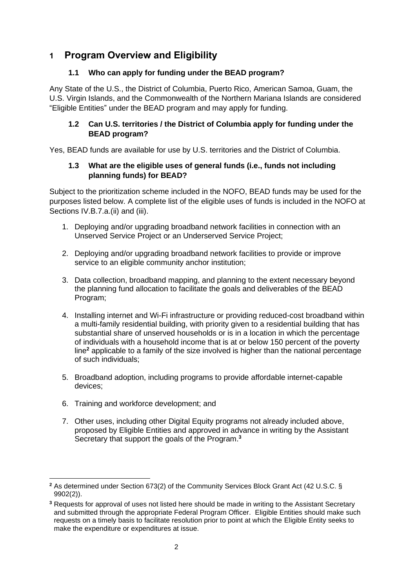# **1 Program Overview and Eligibility**

## **1.1 Who can apply for funding under the BEAD program?**

Any State of the U.S., the District of Columbia, Puerto Rico, American Samoa, Guam, the U.S. Virgin Islands, and the Commonwealth of the Northern Mariana Islands are considered "Eligible Entities" under the BEAD program and may apply for funding.

## **1.2 Can U.S. territories / the District of Columbia apply for funding under the BEAD program?**

Yes, BEAD funds are available for use by U.S. territories and the District of Columbia.

### **1.3 What are the eligible uses of general funds (i.e., funds not including planning funds) for BEAD?**

Subject to the prioritization scheme included in the NOFO, BEAD funds may be used for the purposes listed below. A complete list of the eligible uses of funds is included in the NOFO at Sections IV.B.7.a.(ii) and (iii).

- 1. Deploying and/or upgrading broadband network facilities in connection with an Unserved Service Project or an Underserved Service Project;
- 2. Deploying and/or upgrading broadband network facilities to provide or improve service to an eligible community anchor institution;
- 3. Data collection, broadband mapping, and planning to the extent necessary beyond the planning fund allocation to facilitate the goals and deliverables of the BEAD Program;
- 4. Installing internet and Wi-Fi infrastructure or providing reduced-cost broadband within a multi-family residential building, with priority given to a residential building that has substantial share of unserved households or is in a location in which the percentage of individuals with a household income that is at or below 150 percent of the poverty line**<sup>2</sup>** applicable to a family of the size involved is higher than the national percentage of such individuals;
- 5. Broadband adoption, including programs to provide affordable internet-capable devices;
- 6. Training and workforce development; and
- 7. Other uses, including other Digital Equity programs not already included above, proposed by Eligible Entities and approved in advance in writing by the Assistant Secretary that support the goals of the Program. **3**

**<sup>2</sup>** As determined under Section 673(2) of the Community Services Block Grant Act (42 U.S.C. § 9902(2)).

**<sup>3</sup>** Requests for approval of uses not listed here should be made in writing to the Assistant Secretary and submitted through the appropriate Federal Program Officer. Eligible Entities should make such requests on a timely basis to facilitate resolution prior to point at which the Eligible Entity seeks to make the expenditure or expenditures at issue.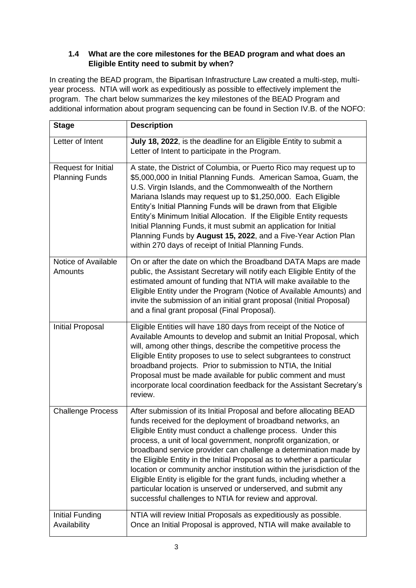## **1.4 What are the core milestones for the BEAD program and what does an Eligible Entity need to submit by when?**

In creating the BEAD program, the Bipartisan Infrastructure Law created a multi-step, multiyear process. NTIA will work as expeditiously as possible to effectively implement the program. The chart below summarizes the key milestones of the BEAD Program and additional information about program sequencing can be found in Section IV.B. of the NOFO:

| <b>Stage</b>                                 | <b>Description</b>                                                                                                                                                                                                                                                                                                                                                                                                                                                                                                                                                                                                                                                                                 |
|----------------------------------------------|----------------------------------------------------------------------------------------------------------------------------------------------------------------------------------------------------------------------------------------------------------------------------------------------------------------------------------------------------------------------------------------------------------------------------------------------------------------------------------------------------------------------------------------------------------------------------------------------------------------------------------------------------------------------------------------------------|
| Letter of Intent                             | July 18, 2022, is the deadline for an Eligible Entity to submit a<br>Letter of Intent to participate in the Program.                                                                                                                                                                                                                                                                                                                                                                                                                                                                                                                                                                               |
| Request for Initial<br><b>Planning Funds</b> | A state, the District of Columbia, or Puerto Rico may request up to<br>\$5,000,000 in Initial Planning Funds. American Samoa, Guam, the<br>U.S. Virgin Islands, and the Commonwealth of the Northern<br>Mariana Islands may request up to \$1,250,000. Each Eligible<br>Entity's Initial Planning Funds will be drawn from that Eligible<br>Entity's Minimum Initial Allocation. If the Eligible Entity requests<br>Initial Planning Funds, it must submit an application for Initial<br>Planning Funds by August 15, 2022, and a Five-Year Action Plan<br>within 270 days of receipt of Initial Planning Funds.                                                                                   |
| Notice of Available<br>Amounts               | On or after the date on which the Broadband DATA Maps are made<br>public, the Assistant Secretary will notify each Eligible Entity of the<br>estimated amount of funding that NTIA will make available to the<br>Eligible Entity under the Program (Notice of Available Amounts) and<br>invite the submission of an initial grant proposal (Initial Proposal)<br>and a final grant proposal (Final Proposal).                                                                                                                                                                                                                                                                                      |
| Initial Proposal                             | Eligible Entities will have 180 days from receipt of the Notice of<br>Available Amounts to develop and submit an Initial Proposal, which<br>will, among other things, describe the competitive process the<br>Eligible Entity proposes to use to select subgrantees to construct<br>broadband projects. Prior to submission to NTIA, the Initial<br>Proposal must be made available for public comment and must<br>incorporate local coordination feedback for the Assistant Secretary's<br>review.                                                                                                                                                                                                |
| <b>Challenge Process</b>                     | After submission of its Initial Proposal and before allocating BEAD<br>funds received for the deployment of broadband networks, an<br>Eligible Entity must conduct a challenge process. Under this<br>process, a unit of local government, nonprofit organization, or<br>broadband service provider can challenge a determination made by<br>the Eligible Entity in the Initial Proposal as to whether a particular<br>location or community anchor institution within the jurisdiction of the<br>Eligible Entity is eligible for the grant funds, including whether a<br>particular location is unserved or underserved, and submit any<br>successful challenges to NTIA for review and approval. |
| Initial Funding<br>Availability              | NTIA will review Initial Proposals as expeditiously as possible.<br>Once an Initial Proposal is approved, NTIA will make available to                                                                                                                                                                                                                                                                                                                                                                                                                                                                                                                                                              |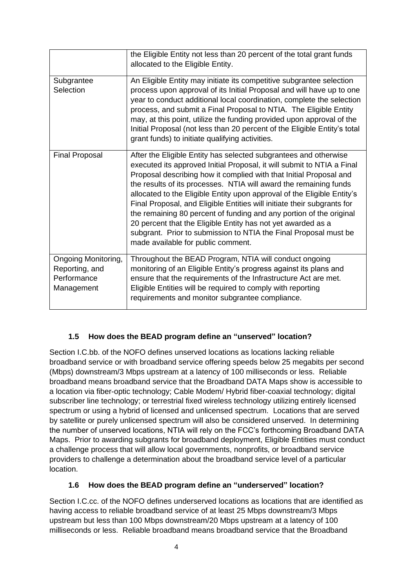|                                                                    | the Eligible Entity not less than 20 percent of the total grant funds<br>allocated to the Eligible Entity.                                                                                                                                                                                                                                                                                                                                                                                                                                                                                                                                                                                   |
|--------------------------------------------------------------------|----------------------------------------------------------------------------------------------------------------------------------------------------------------------------------------------------------------------------------------------------------------------------------------------------------------------------------------------------------------------------------------------------------------------------------------------------------------------------------------------------------------------------------------------------------------------------------------------------------------------------------------------------------------------------------------------|
| Subgrantee<br>Selection                                            | An Eligible Entity may initiate its competitive subgrantee selection<br>process upon approval of its Initial Proposal and will have up to one<br>year to conduct additional local coordination, complete the selection<br>process, and submit a Final Proposal to NTIA. The Eligible Entity<br>may, at this point, utilize the funding provided upon approval of the<br>Initial Proposal (not less than 20 percent of the Eligible Entity's total<br>grant funds) to initiate qualifying activities.                                                                                                                                                                                         |
| <b>Final Proposal</b>                                              | After the Eligible Entity has selected subgrantees and otherwise<br>executed its approved Initial Proposal, it will submit to NTIA a Final<br>Proposal describing how it complied with that Initial Proposal and<br>the results of its processes. NTIA will award the remaining funds<br>allocated to the Eligible Entity upon approval of the Eligible Entity's<br>Final Proposal, and Eligible Entities will initiate their subgrants for<br>the remaining 80 percent of funding and any portion of the original<br>20 percent that the Eligible Entity has not yet awarded as a<br>subgrant. Prior to submission to NTIA the Final Proposal must be<br>made available for public comment. |
| Ongoing Monitoring,<br>Reporting, and<br>Performance<br>Management | Throughout the BEAD Program, NTIA will conduct ongoing<br>monitoring of an Eligible Entity's progress against its plans and<br>ensure that the requirements of the Infrastructure Act are met.<br>Eligible Entities will be required to comply with reporting<br>requirements and monitor subgrantee compliance.                                                                                                                                                                                                                                                                                                                                                                             |

#### **1.5 How does the BEAD program define an "unserved" location?**

Section I.C.bb. of the NOFO defines unserved locations as locations lacking reliable broadband service or with broadband service offering speeds below 25 megabits per second (Mbps) downstream/3 Mbps upstream at a latency of 100 milliseconds or less. Reliable broadband means broadband service that the Broadband DATA Maps show is accessible to a location via fiber-optic technology; Cable Modem/ Hybrid fiber-coaxial technology; digital subscriber line technology; or terrestrial fixed wireless technology utilizing entirely licensed spectrum or using a hybrid of licensed and unlicensed spectrum. Locations that are served by satellite or purely unlicensed spectrum will also be considered unserved. In determining the number of unserved locations, NTIA will rely on the FCC's forthcoming Broadband DATA Maps. Prior to awarding subgrants for broadband deployment, Eligible Entities must conduct a challenge process that will allow local governments, nonprofits, or broadband service providers to challenge a determination about the broadband service level of a particular location.

#### **1.6 How does the BEAD program define an "underserved" location?**

Section I.C.cc. of the NOFO defines underserved locations as locations that are identified as having access to reliable broadband service of at least 25 Mbps downstream/3 Mbps upstream but less than 100 Mbps downstream/20 Mbps upstream at a latency of 100 milliseconds or less. Reliable broadband means broadband service that the Broadband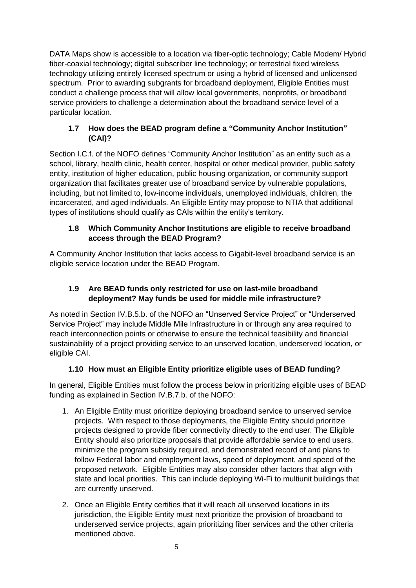DATA Maps show is accessible to a location via fiber-optic technology; Cable Modem/ Hybrid fiber-coaxial technology; digital subscriber line technology; or terrestrial fixed wireless technology utilizing entirely licensed spectrum or using a hybrid of licensed and unlicensed spectrum. Prior to awarding subgrants for broadband deployment, Eligible Entities must conduct a challenge process that will allow local governments, nonprofits, or broadband service providers to challenge a determination about the broadband service level of a particular location.

## **1.7 How does the BEAD program define a "Community Anchor Institution" (CAI)?**

Section I.C.f. of the NOFO defines "Community Anchor Institution" as an entity such as a school, library, health clinic, health center, hospital or other medical provider, public safety entity, institution of higher education, public housing organization, or community support organization that facilitates greater use of broadband service by vulnerable populations, including, but not limited to, low-income individuals, unemployed individuals, children, the incarcerated, and aged individuals. An Eligible Entity may propose to NTIA that additional types of institutions should qualify as CAIs within the entity's territory.

## **1.8 Which Community Anchor Institutions are eligible to receive broadband access through the BEAD Program?**

A Community Anchor Institution that lacks access to Gigabit-level broadband service is an eligible service location under the BEAD Program.

## **1.9 Are BEAD funds only restricted for use on last-mile broadband deployment? May funds be used for middle mile infrastructure?**

As noted in Section IV.B.5.b. of the NOFO an "Unserved Service Project" or "Underserved Service Project" may include Middle Mile Infrastructure in or through any area required to reach interconnection points or otherwise to ensure the technical feasibility and financial sustainability of a project providing service to an unserved location, underserved location, or eligible CAI.

## **1.10 How must an Eligible Entity prioritize eligible uses of BEAD funding?**

In general, Eligible Entities must follow the process below in prioritizing eligible uses of BEAD funding as explained in Section IV.B.7.b. of the NOFO:

- 1. An Eligible Entity must prioritize deploying broadband service to unserved service projects. With respect to those deployments, the Eligible Entity should prioritize projects designed to provide fiber connectivity directly to the end user. The Eligible Entity should also prioritize proposals that provide affordable service to end users, minimize the program subsidy required, and demonstrated record of and plans to follow Federal labor and employment laws, speed of deployment, and speed of the proposed network. Eligible Entities may also consider other factors that align with state and local priorities. This can include deploying Wi-Fi to multiunit buildings that are currently unserved.
- 2. Once an Eligible Entity certifies that it will reach all unserved locations in its jurisdiction, the Eligible Entity must next prioritize the provision of broadband to underserved service projects, again prioritizing fiber services and the other criteria mentioned above.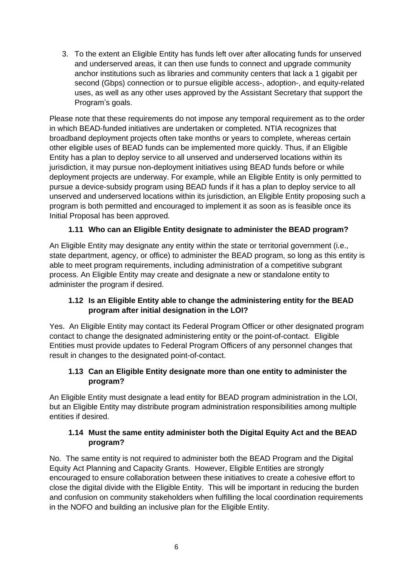3. To the extent an Eligible Entity has funds left over after allocating funds for unserved and underserved areas, it can then use funds to connect and upgrade community anchor institutions such as libraries and community centers that lack a 1 gigabit per second (Gbps) connection or to pursue eligible access-, adoption-, and equity-related uses, as well as any other uses approved by the Assistant Secretary that support the Program's goals.

Please note that these requirements do not impose any temporal requirement as to the order in which BEAD-funded initiatives are undertaken or completed. NTIA recognizes that broadband deployment projects often take months or years to complete, whereas certain other eligible uses of BEAD funds can be implemented more quickly. Thus, if an Eligible Entity has a plan to deploy service to all unserved and underserved locations within its jurisdiction, it may pursue non-deployment initiatives using BEAD funds before or while deployment projects are underway. For example, while an Eligible Entity is only permitted to pursue a device-subsidy program using BEAD funds if it has a plan to deploy service to all unserved and underserved locations within its jurisdiction, an Eligible Entity proposing such a program is both permitted and encouraged to implement it as soon as is feasible once its Initial Proposal has been approved.

## **1.11 Who can an Eligible Entity designate to administer the BEAD program?**

An Eligible Entity may designate any entity within the state or territorial government (i.e., state department, agency, or office) to administer the BEAD program, so long as this entity is able to meet program requirements, including administration of a competitive subgrant process. An Eligible Entity may create and designate a new or standalone entity to administer the program if desired.

## **1.12 Is an Eligible Entity able to change the administering entity for the BEAD program after initial designation in the LOI?**

Yes. An Eligible Entity may contact its Federal Program Officer or other designated program contact to change the designated administering entity or the point-of-contact. Eligible Entities must provide updates to Federal Program Officers of any personnel changes that result in changes to the designated point-of-contact.

#### **1.13 Can an Eligible Entity designate more than one entity to administer the program?**

An Eligible Entity must designate a lead entity for BEAD program administration in the LOI, but an Eligible Entity may distribute program administration responsibilities among multiple entities if desired.

#### **1.14 Must the same entity administer both the Digital Equity Act and the BEAD program?**

No. The same entity is not required to administer both the BEAD Program and the Digital Equity Act Planning and Capacity Grants. However, Eligible Entities are strongly encouraged to ensure collaboration between these initiatives to create a cohesive effort to close the digital divide with the Eligible Entity. This will be important in reducing the burden and confusion on community stakeholders when fulfilling the local coordination requirements in the NOFO and building an inclusive plan for the Eligible Entity.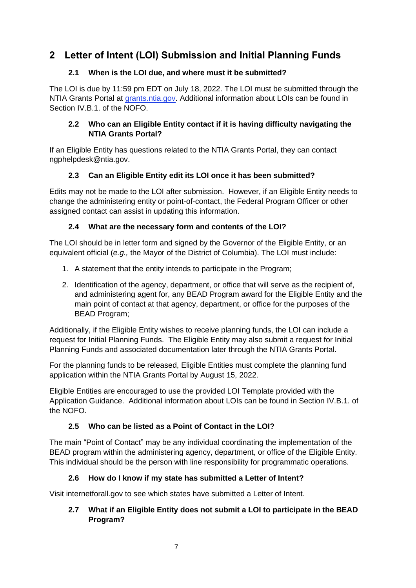# <span id="page-6-0"></span>**2 Letter of Intent (LOI) Submission and Initial Planning Funds**

## **2.1 When is the LOI due, and where must it be submitted?**

The LOI is due by 11:59 pm EDT on July 18, 2022. The LOI must be submitted through the NTIA Grants Portal at [grants.ntia.gov.](https://ntia.sharepoint.com/teams/BIFBroadbandProgramsPlanning-TA/Shared%20Documents/TA/grants.ntia.gov) Additional information about LOIs can be found in Section IV.B.1. of the NOFO.

## **2.2 Who can an Eligible Entity contact if it is having difficulty navigating the NTIA Grants Portal?**

If an Eligible Entity has questions related to the NTIA Grants Portal, they can contact ngphelpdesk@ntia.gov.

## **2.3 Can an Eligible Entity edit its LOI once it has been submitted?**

Edits may not be made to the LOI after submission. However, if an Eligible Entity needs to change the administering entity or point-of-contact, the Federal Program Officer or other assigned contact can assist in updating this information.

## **2.4 What are the necessary form and contents of the LOI?**

The LOI should be in letter form and signed by the Governor of the Eligible Entity, or an equivalent official (*e.g.,* the Mayor of the District of Columbia). The LOI must include:

- 1. A statement that the entity intends to participate in the Program;
- 2. Identification of the agency, department, or office that will serve as the recipient of, and administering agent for, any BEAD Program award for the Eligible Entity and the main point of contact at that agency, department, or office for the purposes of the BEAD Program;

Additionally, if the Eligible Entity wishes to receive planning funds, the LOI can include a request for Initial Planning Funds. The Eligible Entity may also submit a request for Initial Planning Funds and associated documentation later through the NTIA Grants Portal.

For the planning funds to be released, Eligible Entities must complete the planning fund application within the NTIA Grants Portal by August 15, 2022.

Eligible Entities are encouraged to use the provided LOI Template provided with the Application Guidance. Additional information about LOIs can be found in Section IV.B.1. of the NOFO.

# **2.5 Who can be listed as a Point of Contact in the LOI?**

The main "Point of Contact" may be any individual coordinating the implementation of the BEAD program within the administering agency, department, or office of the Eligible Entity. This individual should be the person with line responsibility for programmatic operations.

# **2.6 How do I know if my state has submitted a Letter of Intent?**

Visit internetforall.gov to see which states have submitted a Letter of Intent.

## **2.7 What if an Eligible Entity does not submit a LOI to participate in the BEAD Program?**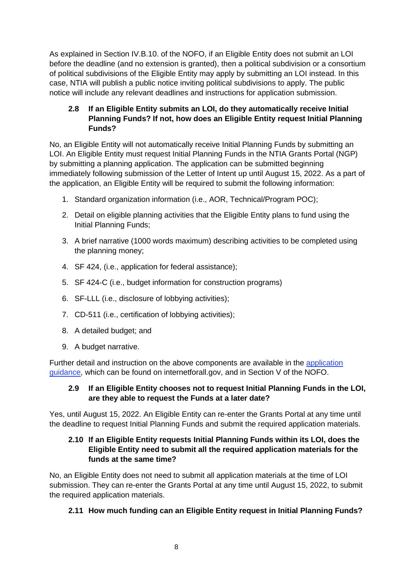As explained in Section IV.B.10. of the NOFO, if an Eligible Entity does not submit an LOI before the deadline (and no extension is granted), then a political subdivision or a consortium of political subdivisions of the Eligible Entity may apply by submitting an LOI instead. In this case, NTIA will publish a public notice inviting political subdivisions to apply. The public notice will include any relevant deadlines and instructions for application submission.

## **2.8 If an Eligible Entity submits an LOI, do they automatically receive Initial Planning Funds? If not, how does an Eligible Entity request Initial Planning Funds?**

No, an Eligible Entity will not automatically receive Initial Planning Funds by submitting an LOI. An Eligible Entity must request Initial Planning Funds in the NTIA Grants Portal (NGP) by submitting a planning application. The application can be submitted beginning immediately following submission of the Letter of Intent up until August 15, 2022. As a part of the application, an Eligible Entity will be required to submit the following information:

- 1. Standard organization information (i.e., AOR, Technical/Program POC);
- 2. Detail on eligible planning activities that the Eligible Entity plans to fund using the Initial Planning Funds;
- 3. A brief narrative (1000 words maximum) describing activities to be completed using the planning money;
- 4. SF 424, (i.e., application for federal assistance);
- 5. SF 424-C (i.e., budget information for construction programs)
- 6. SF-LLL (i.e., disclosure of lobbying activities);
- 7. CD-511 (i.e., certification of lobbying activities);
- 8. A detailed budget; and
- 9. A budget narrative.

Further detail and instruction on the above components are available in the [application](https://broadbandusa.ntia.gov/sites/default/files/2022-05/BEAD%20Planning%20Application%20Guidance.pdf) [guidance,](https://broadbandusa.ntia.gov/sites/default/files/2022-05/BEAD%20Planning%20Application%20Guidance.pdf) which can be found on internetforall.gov, and in Section V of the NOFO.

#### **2.9 If an Eligible Entity chooses not to request Initial Planning Funds in the LOI, are they able to request the Funds at a later date?**

Yes, until August 15, 2022. An Eligible Entity can re-enter the Grants Portal at any time until the deadline to request Initial Planning Funds and submit the required application materials.

#### **2.10 If an Eligible Entity requests Initial Planning Funds within its LOI, does the Eligible Entity need to submit all the required application materials for the funds at the same time?**

No, an Eligible Entity does not need to submit all application materials at the time of LOI submission. They can re-enter the Grants Portal at any time until August 15, 2022, to submit the required application materials.

## **2.11 How much funding can an Eligible Entity request in Initial Planning Funds?**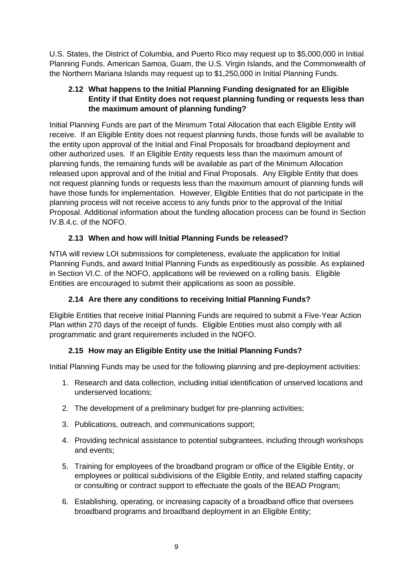U.S. States, the District of Columbia, and Puerto Rico may request up to \$5,000,000 in Initial Planning Funds. American Samoa, Guam, the U.S. Virgin Islands, and the Commonwealth of the Northern Mariana Islands may request up to \$1,250,000 in Initial Planning Funds.

#### **2.12 What happens to the Initial Planning Funding designated for an Eligible Entity if that Entity does not request planning funding or requests less than the maximum amount of planning funding?**

Initial Planning Funds are part of the Minimum Total Allocation that each Eligible Entity will receive. If an Eligible Entity does not request planning funds, those funds will be available to the entity upon approval of the Initial and Final Proposals for broadband deployment and other authorized uses. If an Eligible Entity requests less than the maximum amount of planning funds, the remaining funds will be available as part of the Minimum Allocation released upon approval and of the Initial and Final Proposals. Any Eligible Entity that does not request planning funds or requests less than the maximum amount of planning funds will have those funds for implementation. However, Eligible Entities that do not participate in the planning process will not receive access to any funds prior to the approval of the Initial Proposal. Additional information about the funding allocation process can be found in Section IV.B.4.c. of the NOFO.

## **2.13 When and how will Initial Planning Funds be released?**

NTIA will review LOI submissions for completeness, evaluate the application for Initial Planning Funds, and award Initial Planning Funds as expeditiously as possible. As explained in Section VI.C. of the NOFO, applications will be reviewed on a rolling basis. Eligible Entities are encouraged to submit their applications as soon as possible.

## **2.14 Are there any conditions to receiving Initial Planning Funds?**

Eligible Entities that receive Initial Planning Funds are required to submit a Five-Year Action Plan within 270 days of the receipt of funds. Eligible Entities must also comply with all programmatic and grant requirements included in the NOFO.

## **2.15 How may an Eligible Entity use the Initial Planning Funds?**

Initial Planning Funds may be used for the following planning and pre-deployment activities:

- 1. Research and data collection, including initial identification of unserved locations and underserved locations;
- 2. The development of a preliminary budget for pre-planning activities;
- 3. Publications, outreach, and communications support;
- 4. Providing technical assistance to potential subgrantees, including through workshops and events;
- 5. Training for employees of the broadband program or office of the Eligible Entity, or employees or political subdivisions of the Eligible Entity, and related staffing capacity or consulting or contract support to effectuate the goals of the BEAD Program;
- 6. Establishing, operating, or increasing capacity of a broadband office that oversees broadband programs and broadband deployment in an Eligible Entity;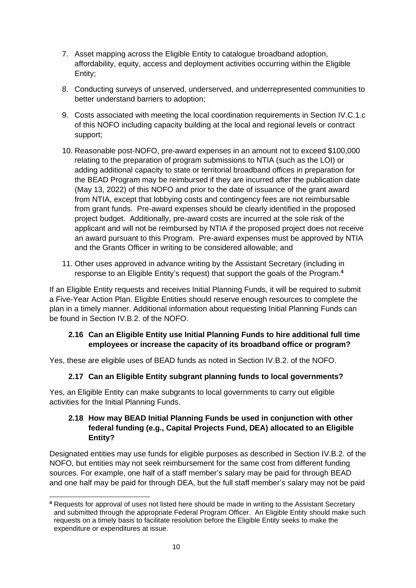- 7. Asset mapping across the Eligible Entity to catalogue broadband adoption, affordability, equity, access and deployment activities occurring within the Eligible Entity;
- 8. Conducting surveys of unserved, underserved, and underrepresented communities to better understand barriers to adoption;
- 9. Costs associated with meeting the local coordination requirements in Section IV.C.1.c of this NOFO including capacity building at the local and regional levels or contract support;
- 10. Reasonable post-NOFO, pre-award expenses in an amount not to exceed \$100,000 relating to the preparation of program submissions to NTIA (such as the LOI) or adding additional capacity to state or territorial broadband offices in preparation for the BEAD Program may be reimbursed if they are incurred after the publication date (May 13, 2022) of this NOFO and prior to the date of issuance of the grant award from NTIA, except that lobbying costs and contingency fees are not reimbursable from grant funds. Pre-award expenses should be clearly identified in the proposed project budget. Additionally, pre-award costs are incurred at the sole risk of the applicant and will not be reimbursed by NTIA if the proposed project does not receive an award pursuant to this Program. Pre-award expenses must be approved by NTIA and the Grants Officer in writing to be considered allowable; and
- 11. Other uses approved in advance writing by the Assistant Secretary (including in response to an Eligible Entity's request) that support the goals of the Program.**<sup>4</sup>**

If an Eligible Entity requests and receives Initial Planning Funds, it will be required to submit a Five-Year Action Plan. Eligible Entities should reserve enough resources to complete the plan in a timely manner. Additional information about requesting Initial Planning Funds can be found in Section IV.B.2. of the NOFO.

#### **2.16 Can an Eligible Entity use Initial Planning Funds to hire additional full time employees or increase the capacity of its broadband office or program?**

Yes, these are eligible uses of BEAD funds as noted in Section IV.B.2. of the NOFO.

#### **2.17 Can an Eligible Entity subgrant planning funds to local governments?**

Yes, an Eligible Entity can make subgrants to local governments to carry out eligible activities for the Initial Planning Funds.

#### **2.18 How may BEAD Initial Planning Funds be used in conjunction with other federal funding (e.g., Capital Projects Fund, DEA) allocated to an Eligible Entity?**

Designated entities may use funds for eligible purposes as described in Section IV.B.2. of the NOFO, but entities may not seek reimbursement for the same cost from different funding sources. For example, one half of a staff member's salary may be paid for through BEAD and one half may be paid for through DEA, but the full staff member's salary may not be paid

**<sup>4</sup>** Requests for approval of uses not listed here should be made in writing to the Assistant Secretary and submitted through the appropriate Federal Program Officer. An Eligible Entity should make such requests on a timely basis to facilitate resolution before the Eligible Entity seeks to make the expenditure or expenditures at issue.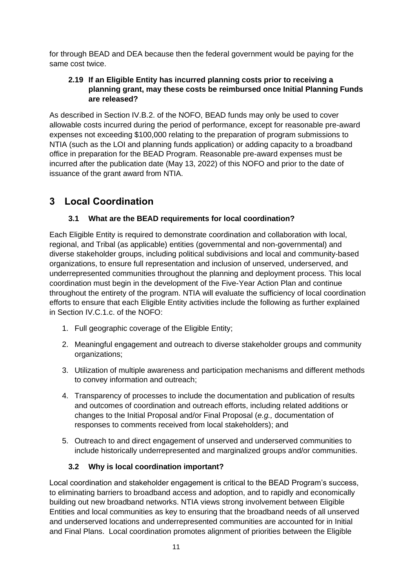for through BEAD and DEA because then the federal government would be paying for the same cost twice.

#### **2.19 If an Eligible Entity has incurred planning costs prior to receiving a planning grant, may these costs be reimbursed once Initial Planning Funds are released?**

As described in Section IV.B.2. of the NOFO, BEAD funds may only be used to cover allowable costs incurred during the period of performance, except for reasonable pre-award expenses not exceeding \$100,000 relating to the preparation of program submissions to NTIA (such as the LOI and planning funds application) or adding capacity to a broadband office in preparation for the BEAD Program. Reasonable pre-award expenses must be incurred after the publication date (May 13, 2022) of this NOFO and prior to the date of issuance of the grant award from NTIA.

# <span id="page-10-0"></span>**3 Local Coordination**

## **3.1 What are the BEAD requirements for local coordination?**

Each Eligible Entity is required to demonstrate coordination and collaboration with local, regional, and Tribal (as applicable) entities (governmental and non-governmental) and diverse stakeholder groups, including political subdivisions and local and community-based organizations, to ensure full representation and inclusion of unserved, underserved, and underrepresented communities throughout the planning and deployment process. This local coordination must begin in the development of the Five-Year Action Plan and continue throughout the entirety of the program. NTIA will evaluate the sufficiency of local coordination efforts to ensure that each Eligible Entity activities include the following as further explained in Section IV.C.1.c. of the NOFO:

- 1. Full geographic coverage of the Eligible Entity;
- 2. Meaningful engagement and outreach to diverse stakeholder groups and community organizations;
- 3. Utilization of multiple awareness and participation mechanisms and different methods to convey information and outreach;
- 4. Transparency of processes to include the documentation and publication of results and outcomes of coordination and outreach efforts, including related additions or changes to the Initial Proposal and/or Final Proposal (*e.g.,* documentation of responses to comments received from local stakeholders); and
- 5. Outreach to and direct engagement of unserved and underserved communities to include historically underrepresented and marginalized groups and/or communities.

## **3.2 Why is local coordination important?**

Local coordination and stakeholder engagement is critical to the BEAD Program's success, to eliminating barriers to broadband access and adoption, and to rapidly and economically building out new broadband networks. NTIA views strong involvement between Eligible Entities and local communities as key to ensuring that the broadband needs of all unserved and underserved locations and underrepresented communities are accounted for in Initial and Final Plans. Local coordination promotes alignment of priorities between the Eligible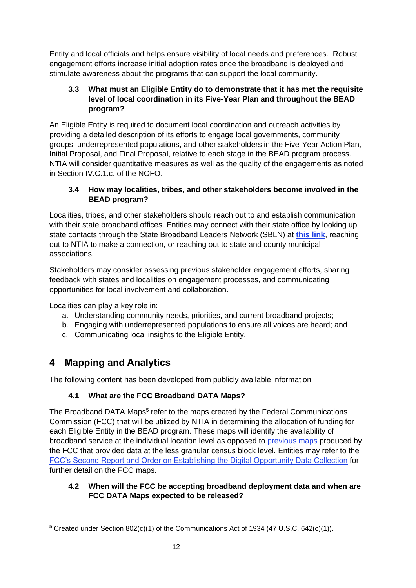Entity and local officials and helps ensure visibility of local needs and preferences. Robust engagement efforts increase initial adoption rates once the broadband is deployed and stimulate awareness about the programs that can support the local community.

## **3.3 What must an Eligible Entity do to demonstrate that it has met the requisite level of local coordination in its Five-Year Plan and throughout the BEAD program?**

An Eligible Entity is required to document local coordination and outreach activities by providing a detailed description of its efforts to engage local governments, community groups, underrepresented populations, and other stakeholders in the Five-Year Action Plan, Initial Proposal, and Final Proposal, relative to each stage in the BEAD program process. NTIA will consider quantitative measures as well as the quality of the engagements as noted in Section IV.C.1.c. of the NOFO.

## **3.4 How may localities, tribes, and other stakeholders become involved in the BEAD program?**

Localities, tribes, and other stakeholders should reach out to and establish communication with their state broadband offices. Entities may connect with their state office by looking up state contacts through the State Broadband Leaders Network (SBLN) at **[this link](https://broadbandusa.ntia.doc.gov/resources/states)**, reaching out to NTIA to make a connection, or reaching out to state and county municipal associations.

Stakeholders may consider assessing previous stakeholder engagement efforts, sharing feedback with states and localities on engagement processes, and communicating opportunities for local involvement and collaboration.

Localities can play a key role in:

- a. Understanding community needs, priorities, and current broadband projects;
- b. Engaging with underrepresented populations to ensure all voices are heard; and
- c. Communicating local insights to the Eligible Entity.

# <span id="page-11-0"></span>**4 Mapping and Analytics**

The following content has been developed from publicly available information

# **4.1 What are the FCC Broadband DATA Maps?**

The Broadband DATA Maps<sup>5</sup> refer to the maps created by the Federal Communications Commission (FCC) that will be utilized by NTIA in determining the allocation of funding for each Eligible Entity in the BEAD program. These maps will identify the availability of broadband service at the individual location level as opposed to [previous maps](https://broadbandmap.fcc.gov/#/about) produced by the FCC that provided data at the less granular census block level. Entities may refer to the [FCC's Second Report and Order on Establishing the Digital Opportunity Data Collection](https://www.fcc.gov/document/fcc-improves-broadband-data-and-maps-bridge-digital-divide-0) for further detail on the FCC maps.

## **4.2 When will the FCC be accepting broadband deployment data and when are FCC DATA Maps expected to be released?**

**<sup>5</sup>** Created under Section 802(c)(1) of the Communications Act of 1934 (47 U.S.C. 642(c)(1)).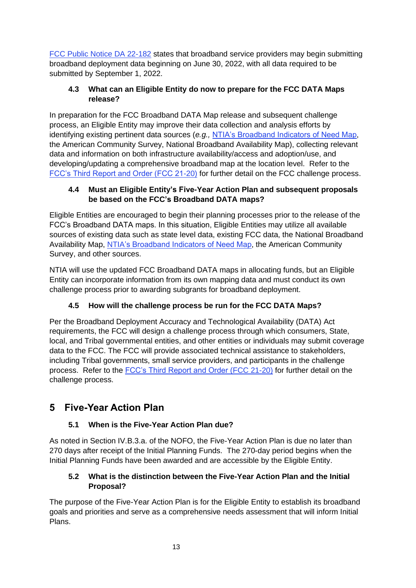FCC [Public Notice DA 22-182](https://docs.fcc.gov/public/attachments/DA-22-182A1.pdf) states that broadband service providers may begin submitting broadband deployment data beginning on June 30, 2022, with all data required to be submitted by September 1, 2022.

## **4.3 What can an Eligible Entity do now to prepare for the FCC DATA Maps release?**

In preparation for the FCC Broadband DATA Map release and subsequent challenge process, an Eligible Entity may improve their data collection and analysis efforts by identifying existing pertinent data sources (*e.g.,* [NTIA's Broadband Indicators of Need Map,](https://broadbandusa.maps.arcgis.com/apps/webappviewer/index.html?id=e2b4907376b548f892672ef6afbc0da5) the American Community Survey, National Broadband Availability Map), collecting relevant data and information on both infrastructure availability/access and adoption/use, and developing/updating a comprehensive broadband map at the location level. Refer to the [FCC's Third Report and Order \(FCC 21-20\)](https://docs.fcc.gov/public/attachments/FCC-21-20A1.pdf) for further detail on the FCC challenge process.

## **4.4 Must an Eligible Entity's Five-Year Action Plan and subsequent proposals be based on the FCC's Broadband DATA maps?**

Eligible Entities are encouraged to begin their planning processes prior to the release of the FCC's Broadband DATA maps. In this situation, Eligible Entities may utilize all available sources of existing data such as state level data, existing FCC data, the National Broadband Availability Map, [NTIA's Broadband Indicators of Need Map,](https://broadbandusa.maps.arcgis.com/apps/webappviewer/index.html?id=e2b4907376b548f892672ef6afbc0da5) the American Community Survey, and other sources.

NTIA will use the updated FCC Broadband DATA maps in allocating funds, but an Eligible Entity can incorporate information from its own mapping data and must conduct its own challenge process prior to awarding subgrants for broadband deployment.

# **4.5 How will the challenge process be run for the FCC DATA Maps?**

Per the Broadband Deployment Accuracy and Technological Availability (DATA) Act requirements, the FCC will design a challenge process through which consumers, State, local, and Tribal governmental entities, and other entities or individuals may submit coverage data to the FCC. The FCC will provide associated technical assistance to stakeholders, including Tribal governments, small service providers, and participants in the challenge process. Refer to the [FCC's Third Report and Order](https://docs.fcc.gov/public/attachments/FCC-21-20A1.pdf) (FCC 21-20) for further detail on the challenge process.

# <span id="page-12-0"></span>**5 Five-Year Action Plan**

# **5.1 When is the Five-Year Action Plan due?**

As noted in Section IV.B.3.a. of the NOFO, the Five-Year Action Plan is due no later than 270 days after receipt of the Initial Planning Funds. The 270-day period begins when the Initial Planning Funds have been awarded and are accessible by the Eligible Entity.

## **5.2 What is the distinction between the Five-Year Action Plan and the Initial Proposal?**

The purpose of the Five-Year Action Plan is for the Eligible Entity to establish its broadband goals and priorities and serve as a comprehensive needs assessment that will inform Initial Plans.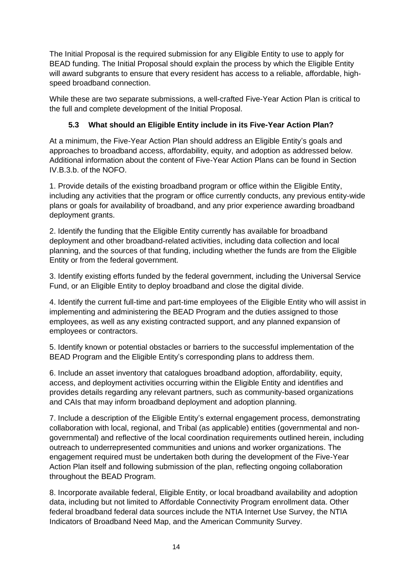The Initial Proposal is the required submission for any Eligible Entity to use to apply for BEAD funding. The Initial Proposal should explain the process by which the Eligible Entity will award subgrants to ensure that every resident has access to a reliable, affordable, highspeed broadband connection.

While these are two separate submissions, a well-crafted Five-Year Action Plan is critical to the full and complete development of the Initial Proposal.

## **5.3 What should an Eligible Entity include in its Five-Year Action Plan?**

At a minimum, the Five-Year Action Plan should address an Eligible Entity's goals and approaches to broadband access, affordability, equity, and adoption as addressed below. Additional information about the content of Five-Year Action Plans can be found in Section IV.B.3.b. of the NOFO.

1. Provide details of the existing broadband program or office within the Eligible Entity, including any activities that the program or office currently conducts, any previous entity-wide plans or goals for availability of broadband, and any prior experience awarding broadband deployment grants.

2. Identify the funding that the Eligible Entity currently has available for broadband deployment and other broadband-related activities, including data collection and local planning, and the sources of that funding, including whether the funds are from the Eligible Entity or from the federal government.

3. Identify existing efforts funded by the federal government, including the Universal Service Fund, or an Eligible Entity to deploy broadband and close the digital divide.

4. Identify the current full-time and part-time employees of the Eligible Entity who will assist in implementing and administering the BEAD Program and the duties assigned to those employees, as well as any existing contracted support, and any planned expansion of employees or contractors.

5. Identify known or potential obstacles or barriers to the successful implementation of the BEAD Program and the Eligible Entity's corresponding plans to address them.

6. Include an asset inventory that catalogues broadband adoption, affordability, equity, access, and deployment activities occurring within the Eligible Entity and identifies and provides details regarding any relevant partners, such as community-based organizations and CAIs that may inform broadband deployment and adoption planning.

7. Include a description of the Eligible Entity's external engagement process, demonstrating collaboration with local, regional, and Tribal (as applicable) entities (governmental and nongovernmental) and reflective of the local coordination requirements outlined herein, including outreach to underrepresented communities and unions and worker organizations. The engagement required must be undertaken both during the development of the Five-Year Action Plan itself and following submission of the plan, reflecting ongoing collaboration throughout the BEAD Program.

8. Incorporate available federal, Eligible Entity, or local broadband availability and adoption data, including but not limited to Affordable Connectivity Program enrollment data. Other federal broadband federal data sources include the NTIA Internet Use Survey, the NTIA Indicators of Broadband Need Map, and the American Community Survey.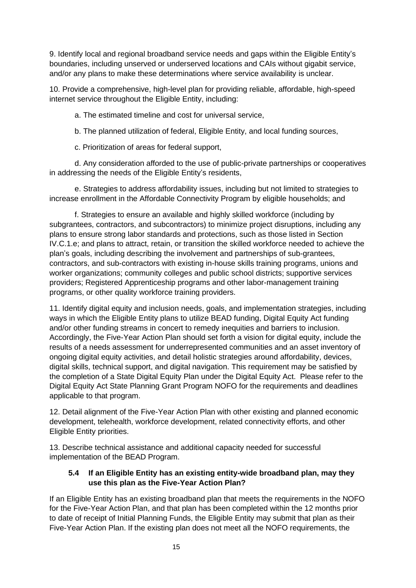9. Identify local and regional broadband service needs and gaps within the Eligible Entity's boundaries, including unserved or underserved locations and CAIs without gigabit service, and/or any plans to make these determinations where service availability is unclear.

10. Provide a comprehensive, high-level plan for providing reliable, affordable, high-speed internet service throughout the Eligible Entity, including:

a. The estimated timeline and cost for universal service,

b. The planned utilization of federal, Eligible Entity, and local funding sources,

c. Prioritization of areas for federal support,

d. Any consideration afforded to the use of public-private partnerships or cooperatives in addressing the needs of the Eligible Entity's residents,

e. Strategies to address affordability issues, including but not limited to strategies to increase enrollment in the Affordable Connectivity Program by eligible households; and

f. Strategies to ensure an available and highly skilled workforce (including by subgrantees, contractors, and subcontractors) to minimize project disruptions, including any plans to ensure strong labor standards and protections, such as those listed in Section IV.C.1.e; and plans to attract, retain, or transition the skilled workforce needed to achieve the plan's goals, including describing the involvement and partnerships of sub-grantees, contractors, and sub-contractors with existing in-house skills training programs, unions and worker organizations; community colleges and public school districts; supportive services providers; Registered Apprenticeship programs and other labor-management training programs, or other quality workforce training providers.

11. Identify digital equity and inclusion needs, goals, and implementation strategies, including ways in which the Eligible Entity plans to utilize BEAD funding, Digital Equity Act funding and/or other funding streams in concert to remedy inequities and barriers to inclusion. Accordingly, the Five-Year Action Plan should set forth a vision for digital equity, include the results of a needs assessment for underrepresented communities and an asset inventory of ongoing digital equity activities, and detail holistic strategies around affordability, devices, digital skills, technical support, and digital navigation. This requirement may be satisfied by the completion of a State Digital Equity Plan under the Digital Equity Act. Please refer to the Digital Equity Act State Planning Grant Program NOFO for the requirements and deadlines applicable to that program.

12. Detail alignment of the Five-Year Action Plan with other existing and planned economic development, telehealth, workforce development, related connectivity efforts, and other Eligible Entity priorities.

13. Describe technical assistance and additional capacity needed for successful implementation of the BEAD Program.

#### **5.4 If an Eligible Entity has an existing entity-wide broadband plan, may they use this plan as the Five-Year Action Plan?**

If an Eligible Entity has an existing broadband plan that meets the requirements in the NOFO for the Five-Year Action Plan, and that plan has been completed within the 12 months prior to date of receipt of Initial Planning Funds, the Eligible Entity may submit that plan as their Five-Year Action Plan. If the existing plan does not meet all the NOFO requirements, the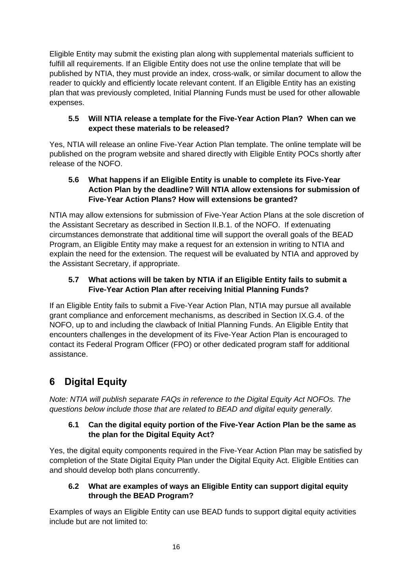Eligible Entity may submit the existing plan along with supplemental materials sufficient to fulfill all requirements. If an Eligible Entity does not use the online template that will be published by NTIA, they must provide an index, cross-walk, or similar document to allow the reader to quickly and efficiently locate relevant content. If an Eligible Entity has an existing plan that was previously completed, Initial Planning Funds must be used for other allowable expenses.

#### **5.5 Will NTIA release a template for the Five-Year Action Plan? When can we expect these materials to be released?**

Yes, NTIA will release an online Five-Year Action Plan template. The online template will be published on the program website and shared directly with Eligible Entity POCs shortly after release of the NOFO.

### **5.6 What happens if an Eligible Entity is unable to complete its Five-Year Action Plan by the deadline? Will NTIA allow extensions for submission of Five-Year Action Plans? How will extensions be granted?**

NTIA may allow extensions for submission of Five-Year Action Plans at the sole discretion of the Assistant Secretary as described in Section II.B.1. of the NOFO. If extenuating circumstances demonstrate that additional time will support the overall goals of the BEAD Program, an Eligible Entity may make a request for an extension in writing to NTIA and explain the need for the extension. The request will be evaluated by NTIA and approved by the Assistant Secretary, if appropriate.

## **5.7 What actions will be taken by NTIA if an Eligible Entity fails to submit a Five-Year Action Plan after receiving Initial Planning Funds?**

If an Eligible Entity fails to submit a Five-Year Action Plan, NTIA may pursue all available grant compliance and enforcement mechanisms, as described in Section IX.G.4. of the NOFO, up to and including the clawback of Initial Planning Funds. An Eligible Entity that encounters challenges in the development of its Five-Year Action Plan is encouraged to contact its Federal Program Officer (FPO) or other dedicated program staff for additional assistance.

# <span id="page-15-0"></span>**6 Digital Equity**

*Note: NTIA will publish separate FAQs in reference to the Digital Equity Act NOFOs. The questions below include those that are related to BEAD and digital equity generally.*

## **6.1 Can the digital equity portion of the Five-Year Action Plan be the same as the plan for the Digital Equity Act?**

Yes, the digital equity components required in the Five-Year Action Plan may be satisfied by completion of the State Digital Equity Plan under the Digital Equity Act. Eligible Entities can and should develop both plans concurrently.

## **6.2 What are examples of ways an Eligible Entity can support digital equity through the BEAD Program?**

Examples of ways an Eligible Entity can use BEAD funds to support digital equity activities include but are not limited to: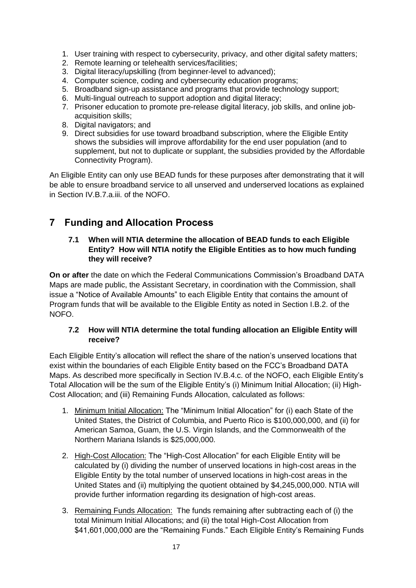- 1. User training with respect to cybersecurity, privacy, and other digital safety matters;
- 2. Remote learning or telehealth services/facilities;
- 3. Digital literacy/upskilling (from beginner-level to advanced);
- 4. Computer science, coding and cybersecurity education programs;
- 5. Broadband sign-up assistance and programs that provide technology support;
- 6. Multi-lingual outreach to support adoption and digital literacy;
- 7. Prisoner education to promote pre-release digital literacy, job skills, and online jobacquisition skills;
- 8. Digital navigators; and
- 9. Direct subsidies for use toward broadband subscription, where the Eligible Entity shows the subsidies will improve affordability for the end user population (and to supplement, but not to duplicate or supplant, the subsidies provided by the Affordable Connectivity Program).

An Eligible Entity can only use BEAD funds for these purposes after demonstrating that it will be able to ensure broadband service to all unserved and underserved locations as explained in Section IV.B.7.a.iii. of the NOFO.

# <span id="page-16-0"></span>**7 Funding and Allocation Process**

#### **7.1 When will NTIA determine the allocation of BEAD funds to each Eligible Entity? How will NTIA notify the Eligible Entities as to how much funding they will receive?**

**On or after** the date on which the Federal Communications Commission's Broadband DATA Maps are made public, the Assistant Secretary, in coordination with the Commission, shall issue a "Notice of Available Amounts" to each Eligible Entity that contains the amount of Program funds that will be available to the Eligible Entity as noted in Section I.B.2. of the NOFO.

#### **7.2 How will NTIA determine the total funding allocation an Eligible Entity will receive?**

Each Eligible Entity's allocation will reflect the share of the nation's unserved locations that exist within the boundaries of each Eligible Entity based on the FCC's Broadband DATA Maps. As described more specifically in Section IV.B.4.c. of the NOFO, each Eligible Entity's Total Allocation will be the sum of the Eligible Entity's (i) Minimum Initial Allocation; (ii) High-Cost Allocation; and (iii) Remaining Funds Allocation, calculated as follows:

- 1. Minimum Initial Allocation: The "Minimum Initial Allocation" for (i) each State of the United States, the District of Columbia, and Puerto Rico is \$100,000,000, and (ii) for American Samoa, Guam, the U.S. Virgin Islands, and the Commonwealth of the Northern Mariana Islands is \$25,000,000.
- 2. High-Cost Allocation: The "High-Cost Allocation" for each Eligible Entity will be calculated by (i) dividing the number of unserved locations in high-cost areas in the Eligible Entity by the total number of unserved locations in high-cost areas in the United States and (ii) multiplying the quotient obtained by \$4,245,000,000. NTIA will provide further information regarding its designation of high-cost areas.
- 3. Remaining Funds Allocation: The funds remaining after subtracting each of (i) the total Minimum Initial Allocations; and (ii) the total High-Cost Allocation from \$41,601,000,000 are the "Remaining Funds." Each Eligible Entity's Remaining Funds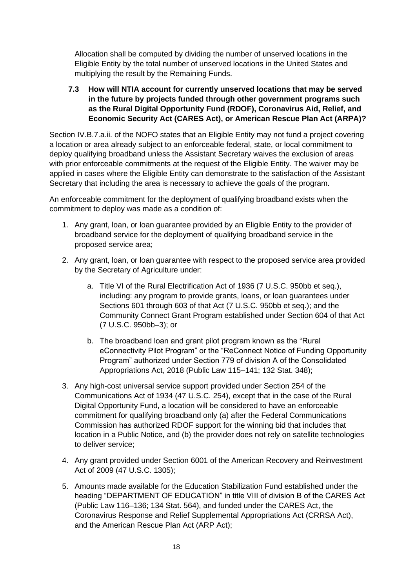Allocation shall be computed by dividing the number of unserved locations in the Eligible Entity by the total number of unserved locations in the United States and multiplying the result by the Remaining Funds.

#### **7.3 How will NTIA account for currently unserved locations that may be served in the future by projects funded through other government programs such as the Rural Digital Opportunity Fund (RDOF), Coronavirus Aid, Relief, and Economic Security Act (CARES Act), or American Rescue Plan Act (ARPA)?**

Section IV.B.7.a.ii. of the NOFO states that an Eligible Entity may not fund a project covering a location or area already subject to an enforceable federal, state, or local commitment to deploy qualifying broadband unless the Assistant Secretary waives the exclusion of areas with prior enforceable commitments at the request of the Eligible Entity. The waiver may be applied in cases where the Eligible Entity can demonstrate to the satisfaction of the Assistant Secretary that including the area is necessary to achieve the goals of the program.

An enforceable commitment for the deployment of qualifying broadband exists when the commitment to deploy was made as a condition of:

- 1. Any grant, loan, or loan guarantee provided by an Eligible Entity to the provider of broadband service for the deployment of qualifying broadband service in the proposed service area;
- 2. Any grant, loan, or loan guarantee with respect to the proposed service area provided by the Secretary of Agriculture under:
	- a. Title VI of the Rural Electrification Act of 1936 (7 U.S.C. 950bb et seq.), including: any program to provide grants, loans, or loan guarantees under Sections 601 through 603 of that Act (7 U.S.C. 950bb et seq.); and the Community Connect Grant Program established under Section 604 of that Act (7 U.S.C. 950bb–3); or
	- b. The broadband loan and grant pilot program known as the "Rural eConnectivity Pilot Program" or the "ReConnect Notice of Funding Opportunity Program" authorized under Section 779 of division A of the Consolidated Appropriations Act, 2018 (Public Law 115–141; 132 Stat. 348);
- 3. Any high-cost universal service support provided under Section 254 of the Communications Act of 1934 (47 U.S.C. 254), except that in the case of the Rural Digital Opportunity Fund, a location will be considered to have an enforceable commitment for qualifying broadband only (a) after the Federal Communications Commission has authorized RDOF support for the winning bid that includes that location in a Public Notice, and (b) the provider does not rely on satellite technologies to deliver service;
- 4. Any grant provided under Section 6001 of the American Recovery and Reinvestment Act of 2009 (47 U.S.C. 1305);
- 5. Amounts made available for the Education Stabilization Fund established under the heading "DEPARTMENT OF EDUCATION" in title VIII of division B of the CARES Act (Public Law 116–136; 134 Stat. 564), and funded under the CARES Act, the Coronavirus Response and Relief Supplemental Appropriations Act (CRRSA Act), and the American Rescue Plan Act (ARP Act);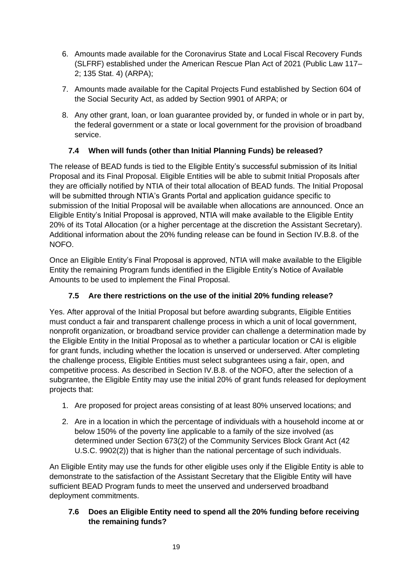- 6. Amounts made available for the Coronavirus State and Local Fiscal Recovery Funds (SLFRF) established under the American Rescue Plan Act of 2021 (Public Law 117– 2; 135 Stat. 4) (ARPA);
- 7. Amounts made available for the Capital Projects Fund established by Section 604 of the Social Security Act, as added by Section 9901 of ARPA; or
- 8. Any other grant, loan, or loan guarantee provided by, or funded in whole or in part by, the federal government or a state or local government for the provision of broadband service.

## **7.4 When will funds (other than Initial Planning Funds) be released?**

The release of BEAD funds is tied to the Eligible Entity's successful submission of its Initial Proposal and its Final Proposal. Eligible Entities will be able to submit Initial Proposals after they are officially notified by NTIA of their total allocation of BEAD funds. The Initial Proposal will be submitted through NTIA's Grants Portal and application guidance specific to submission of the Initial Proposal will be available when allocations are announced. Once an Eligible Entity's Initial Proposal is approved, NTIA will make available to the Eligible Entity 20% of its Total Allocation (or a higher percentage at the discretion the Assistant Secretary). Additional information about the 20% funding release can be found in Section IV.B.8. of the NOFO.

Once an Eligible Entity's Final Proposal is approved, NTIA will make available to the Eligible Entity the remaining Program funds identified in the Eligible Entity's Notice of Available Amounts to be used to implement the Final Proposal.

## **7.5 Are there restrictions on the use of the initial 20% funding release?**

Yes. After approval of the Initial Proposal but before awarding subgrants, Eligible Entities must conduct a fair and transparent challenge process in which a unit of local government, nonprofit organization, or broadband service provider can challenge a determination made by the Eligible Entity in the Initial Proposal as to whether a particular location or CAI is eligible for grant funds, including whether the location is unserved or underserved. After completing the challenge process, Eligible Entities must select subgrantees using a fair, open, and competitive process. As described in Section IV.B.8. of the NOFO, after the selection of a subgrantee, the Eligible Entity may use the initial 20% of grant funds released for deployment projects that:

- 1. Are proposed for project areas consisting of at least 80% unserved locations; and
- 2. Are in a location in which the percentage of individuals with a household income at or below 150% of the poverty line applicable to a family of the size involved (as determined under Section 673(2) of the Community Services Block Grant Act (42 U.S.C. 9902(2)) that is higher than the national percentage of such individuals.

An Eligible Entity may use the funds for other eligible uses only if the Eligible Entity is able to demonstrate to the satisfaction of the Assistant Secretary that the Eligible Entity will have sufficient BEAD Program funds to meet the unserved and underserved broadband deployment commitments.

#### **7.6 Does an Eligible Entity need to spend all the 20% funding before receiving the remaining funds?**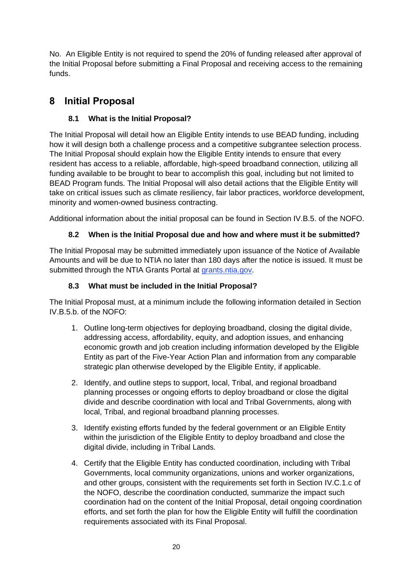No. An Eligible Entity is not required to spend the 20% of funding released after approval of the Initial Proposal before submitting a Final Proposal and receiving access to the remaining funds.

# <span id="page-19-0"></span>**8 Initial Proposal**

## **8.1 What is the Initial Proposal?**

The Initial Proposal will detail how an Eligible Entity intends to use BEAD funding, including how it will design both a challenge process and a competitive subgrantee selection process. The Initial Proposal should explain how the Eligible Entity intends to ensure that every resident has access to a reliable, affordable, high-speed broadband connection, utilizing all funding available to be brought to bear to accomplish this goal, including but not limited to BEAD Program funds. The Initial Proposal will also detail actions that the Eligible Entity will take on critical issues such as climate resiliency, fair labor practices, workforce development, minority and women-owned business contracting.

Additional information about the initial proposal can be found in Section IV.B.5. of the NOFO.

## **8.2 When is the Initial Proposal due and how and where must it be submitted?**

The Initial Proposal may be submitted immediately upon issuance of the Notice of Available Amounts and will be due to NTIA no later than 180 days after the notice is issued. It must be submitted through the NTIA Grants Portal at [grants.ntia.gov.](https://ntia.sharepoint.com/teams/BIFBroadbandProgramsPlanning-TA/Shared%20Documents/TA/grants.ntia.gov)

## **8.3 What must be included in the Initial Proposal?**

The Initial Proposal must, at a minimum include the following information detailed in Section IV.B.5.b. of the NOFO:

- 1. Outline long-term objectives for deploying broadband, closing the digital divide, addressing access, affordability, equity, and adoption issues, and enhancing economic growth and job creation including information developed by the Eligible Entity as part of the Five-Year Action Plan and information from any comparable strategic plan otherwise developed by the Eligible Entity, if applicable.
- 2. Identify, and outline steps to support, local, Tribal, and regional broadband planning processes or ongoing efforts to deploy broadband or close the digital divide and describe coordination with local and Tribal Governments, along with local, Tribal, and regional broadband planning processes.
- 3. Identify existing efforts funded by the federal government or an Eligible Entity within the jurisdiction of the Eligible Entity to deploy broadband and close the digital divide, including in Tribal Lands.
- 4. Certify that the Eligible Entity has conducted coordination, including with Tribal Governments, local community organizations, unions and worker organizations, and other groups, consistent with the requirements set forth in Section IV.C.1.c of the NOFO, describe the coordination conducted, summarize the impact such coordination had on the content of the Initial Proposal, detail ongoing coordination efforts, and set forth the plan for how the Eligible Entity will fulfill the coordination requirements associated with its Final Proposal.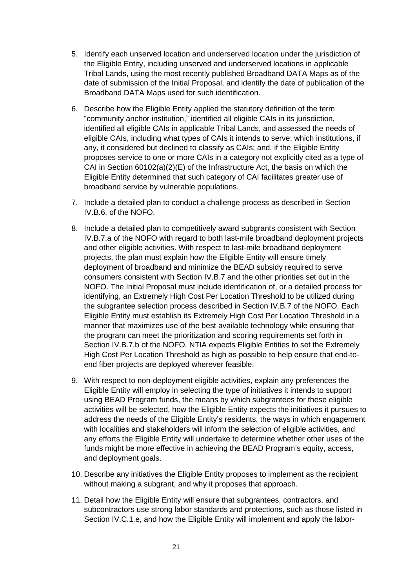- 5. Identify each unserved location and underserved location under the jurisdiction of the Eligible Entity, including unserved and underserved locations in applicable Tribal Lands, using the most recently published Broadband DATA Maps as of the date of submission of the Initial Proposal, and identify the date of publication of the Broadband DATA Maps used for such identification.
- 6. Describe how the Eligible Entity applied the statutory definition of the term "community anchor institution," identified all eligible CAIs in its jurisdiction, identified all eligible CAIs in applicable Tribal Lands, and assessed the needs of eligible CAIs, including what types of CAIs it intends to serve; which institutions, if any, it considered but declined to classify as CAIs; and, if the Eligible Entity proposes service to one or more CAIs in a category not explicitly cited as a type of CAI in Section 60102(a)(2)(E) of the Infrastructure Act, the basis on which the Eligible Entity determined that such category of CAI facilitates greater use of broadband service by vulnerable populations.
- 7. Include a detailed plan to conduct a challenge process as described in Section IV.B.6. of the NOFO.
- 8. Include a detailed plan to competitively award subgrants consistent with Section IV.B.7.a of the NOFO with regard to both last-mile broadband deployment projects and other eligible activities. With respect to last-mile broadband deployment projects, the plan must explain how the Eligible Entity will ensure timely deployment of broadband and minimize the BEAD subsidy required to serve consumers consistent with Section IV.B.7 and the other priorities set out in the NOFO. The Initial Proposal must include identification of, or a detailed process for identifying, an Extremely High Cost Per Location Threshold to be utilized during the subgrantee selection process described in Section IV.B.7 of the NOFO. Each Eligible Entity must establish its Extremely High Cost Per Location Threshold in a manner that maximizes use of the best available technology while ensuring that the program can meet the prioritization and scoring requirements set forth in Section IV.B.7.b of the NOFO. NTIA expects Eligible Entities to set the Extremely High Cost Per Location Threshold as high as possible to help ensure that end-toend fiber projects are deployed wherever feasible.
- 9. With respect to non-deployment eligible activities, explain any preferences the Eligible Entity will employ in selecting the type of initiatives it intends to support using BEAD Program funds, the means by which subgrantees for these eligible activities will be selected, how the Eligible Entity expects the initiatives it pursues to address the needs of the Eligible Entity's residents, the ways in which engagement with localities and stakeholders will inform the selection of eligible activities, and any efforts the Eligible Entity will undertake to determine whether other uses of the funds might be more effective in achieving the BEAD Program's equity, access, and deployment goals.
- 10. Describe any initiatives the Eligible Entity proposes to implement as the recipient without making a subgrant, and why it proposes that approach.
- 11. Detail how the Eligible Entity will ensure that subgrantees, contractors, and subcontractors use strong labor standards and protections, such as those listed in Section IV.C.1.e, and how the Eligible Entity will implement and apply the labor-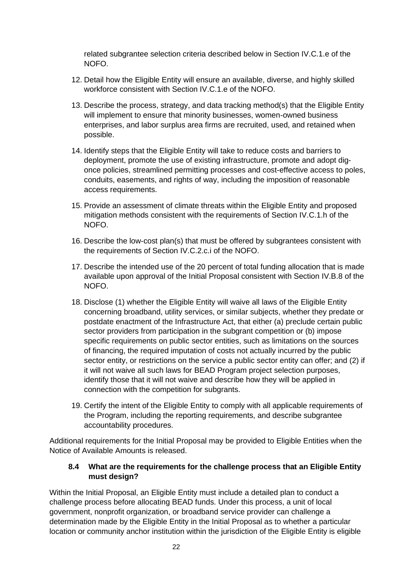related subgrantee selection criteria described below in Section IV.C.1.e of the NOFO.

- 12. Detail how the Eligible Entity will ensure an available, diverse, and highly skilled workforce consistent with Section IV.C.1.e of the NOFO.
- 13. Describe the process, strategy, and data tracking method(s) that the Eligible Entity will implement to ensure that minority businesses, women-owned business enterprises, and labor surplus area firms are recruited, used, and retained when possible.
- 14. Identify steps that the Eligible Entity will take to reduce costs and barriers to deployment, promote the use of existing infrastructure, promote and adopt digonce policies, streamlined permitting processes and cost-effective access to poles, conduits, easements, and rights of way, including the imposition of reasonable access requirements.
- 15. Provide an assessment of climate threats within the Eligible Entity and proposed mitigation methods consistent with the requirements of Section IV.C.1.h of the NOFO.
- 16. Describe the low-cost plan(s) that must be offered by subgrantees consistent with the requirements of Section IV.C.2.c.i of the NOFO.
- 17. Describe the intended use of the 20 percent of total funding allocation that is made available upon approval of the Initial Proposal consistent with Section IV.B.8 of the NOFO.
- 18. Disclose (1) whether the Eligible Entity will waive all laws of the Eligible Entity concerning broadband, utility services, or similar subjects, whether they predate or postdate enactment of the Infrastructure Act, that either (a) preclude certain public sector providers from participation in the subgrant competition or (b) impose specific requirements on public sector entities, such as limitations on the sources of financing, the required imputation of costs not actually incurred by the public sector entity, or restrictions on the service a public sector entity can offer; and (2) if it will not waive all such laws for BEAD Program project selection purposes, identify those that it will not waive and describe how they will be applied in connection with the competition for subgrants.
- 19. Certify the intent of the Eligible Entity to comply with all applicable requirements of the Program, including the reporting requirements, and describe subgrantee accountability procedures.

Additional requirements for the Initial Proposal may be provided to Eligible Entities when the Notice of Available Amounts is released.

#### **8.4 What are the requirements for the challenge process that an Eligible Entity must design?**

Within the Initial Proposal, an Eligible Entity must include a detailed plan to conduct a challenge process before allocating BEAD funds. Under this process, a unit of local government, nonprofit organization, or broadband service provider can challenge a determination made by the Eligible Entity in the Initial Proposal as to whether a particular location or community anchor institution within the jurisdiction of the Eligible Entity is eligible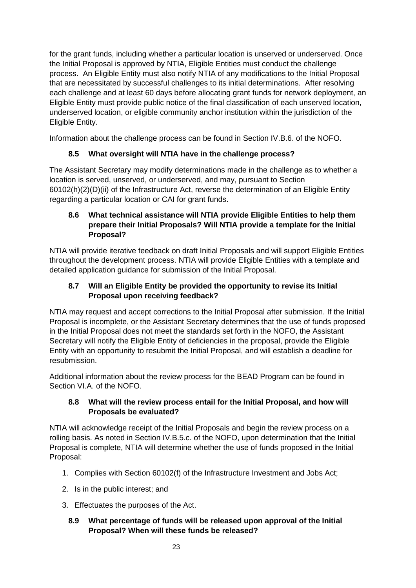for the grant funds, including whether a particular location is unserved or underserved. Once the Initial Proposal is approved by NTIA, Eligible Entities must conduct the challenge process. An Eligible Entity must also notify NTIA of any modifications to the Initial Proposal that are necessitated by successful challenges to its initial determinations. After resolving each challenge and at least 60 days before allocating grant funds for network deployment, an Eligible Entity must provide public notice of the final classification of each unserved location, underserved location, or eligible community anchor institution within the jurisdiction of the Eligible Entity.

Information about the challenge process can be found in Section IV.B.6. of the NOFO.

## **8.5 What oversight will NTIA have in the challenge process?**

The Assistant Secretary may modify determinations made in the challenge as to whether a location is served, unserved, or underserved, and may, pursuant to Section 60102(h)(2)(D)(ii) of the Infrastructure Act, reverse the determination of an Eligible Entity regarding a particular location or CAI for grant funds.

### **8.6 What technical assistance will NTIA provide Eligible Entities to help them prepare their Initial Proposals? Will NTIA provide a template for the Initial Proposal?**

NTIA will provide iterative feedback on draft Initial Proposals and will support Eligible Entities throughout the development process. NTIA will provide Eligible Entities with a template and detailed application guidance for submission of the Initial Proposal.

## **8.7 Will an Eligible Entity be provided the opportunity to revise its Initial Proposal upon receiving feedback?**

NTIA may request and accept corrections to the Initial Proposal after submission. If the Initial Proposal is incomplete, or the Assistant Secretary determines that the use of funds proposed in the Initial Proposal does not meet the standards set forth in the NOFO, the Assistant Secretary will notify the Eligible Entity of deficiencies in the proposal, provide the Eligible Entity with an opportunity to resubmit the Initial Proposal, and will establish a deadline for resubmission.

Additional information about the review process for the BEAD Program can be found in Section VI.A. of the NOFO.

## **8.8 What will the review process entail for the Initial Proposal, and how will Proposals be evaluated?**

NTIA will acknowledge receipt of the Initial Proposals and begin the review process on a rolling basis. As noted in Section IV.B.5.c. of the NOFO, upon determination that the Initial Proposal is complete, NTIA will determine whether the use of funds proposed in the Initial Proposal:

- 1. Complies with Section 60102(f) of the Infrastructure Investment and Jobs Act;
- 2. Is in the public interest; and
- 3. Effectuates the purposes of the Act.

#### **8.9 What percentage of funds will be released upon approval of the Initial Proposal? When will these funds be released?**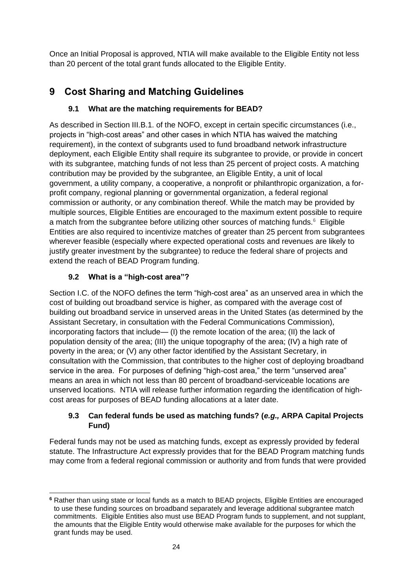Once an Initial Proposal is approved, NTIA will make available to the Eligible Entity not less than 20 percent of the total grant funds allocated to the Eligible Entity.

# <span id="page-23-0"></span>**9 Cost Sharing and Matching Guidelines**

# **9.1 What are the matching requirements for BEAD?**

As described in Section III.B.1. of the NOFO, except in certain specific circumstances (i.e., projects in "high-cost areas" and other cases in which NTIA has waived the matching requirement), in the context of subgrants used to fund broadband network infrastructure deployment, each Eligible Entity shall require its subgrantee to provide, or provide in concert with its subgrantee, matching funds of not less than 25 percent of project costs. A matching contribution may be provided by the subgrantee, an Eligible Entity, a unit of local government, a utility company, a cooperative, a nonprofit or philanthropic organization, a forprofit company, regional planning or governmental organization, a federal regional commission or authority, or any combination thereof. While the match may be provided by multiple sources, Eligible Entities are encouraged to the maximum extent possible to require a match from the subgrantee before utilizing other sources of matching funds.<sup>6</sup> Eligible Entities are also required to incentivize matches of greater than 25 percent from subgrantees wherever feasible (especially where expected operational costs and revenues are likely to justify greater investment by the subgrantee) to reduce the federal share of projects and extend the reach of BEAD Program funding.

# **9.2 What is a "high-cost area"?**

Section I.C. of the NOFO defines the term "high-cost area" as an unserved area in which the cost of building out broadband service is higher, as compared with the average cost of building out broadband service in unserved areas in the United States (as determined by the Assistant Secretary, in consultation with the Federal Communications Commission), incorporating factors that include— (I) the remote location of the area; (II) the lack of population density of the area; (III) the unique topography of the area; (IV) a high rate of poverty in the area; or (V) any other factor identified by the Assistant Secretary, in consultation with the Commission, that contributes to the higher cost of deploying broadband service in the area. For purposes of defining "high-cost area," the term "unserved area" means an area in which not less than 80 percent of broadband-serviceable locations are unserved locations. NTIA will release further information regarding the identification of highcost areas for purposes of BEAD funding allocations at a later date.

## **9.3 Can federal funds be used as matching funds? (***e.g.,* **ARPA Capital Projects Fund)**

Federal funds may not be used as matching funds, except as expressly provided by federal statute. The Infrastructure Act expressly provides that for the BEAD Program matching funds may come from a federal regional commission or authority and from funds that were provided

**<sup>6</sup>** Rather than using state or local funds as a match to BEAD projects, Eligible Entities are encouraged to use these funding sources on broadband separately and leverage additional subgrantee match commitments. Eligible Entities also must use BEAD Program funds to supplement, and not supplant, the amounts that the Eligible Entity would otherwise make available for the purposes for which the grant funds may be used.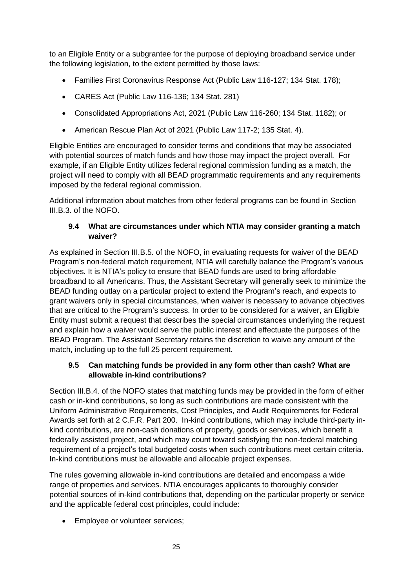to an Eligible Entity or a subgrantee for the purpose of deploying broadband service under the following legislation, to the extent permitted by those laws:

- Families First Coronavirus Response Act (Public Law 116-127; 134 Stat. 178);
- CARES Act (Public Law 116-136; 134 Stat. 281)
- Consolidated Appropriations Act, 2021 (Public Law 116-260; 134 Stat. 1182); or
- American Rescue Plan Act of 2021 (Public Law 117-2; 135 Stat. 4).

Eligible Entities are encouraged to consider terms and conditions that may be associated with potential sources of match funds and how those may impact the project overall. For example, if an Eligible Entity utilizes federal regional commission funding as a match, the project will need to comply with all BEAD programmatic requirements and any requirements imposed by the federal regional commission.

Additional information about matches from other federal programs can be found in Section III.B.3. of the NOFO.

#### **9.4 What are circumstances under which NTIA may consider granting a match waiver?**

As explained in Section III.B.5. of the NOFO, in evaluating requests for waiver of the BEAD Program's non-federal match requirement, NTIA will carefully balance the Program's various objectives. It is NTIA's policy to ensure that BEAD funds are used to bring affordable broadband to all Americans. Thus, the Assistant Secretary will generally seek to minimize the BEAD funding outlay on a particular project to extend the Program's reach, and expects to grant waivers only in special circumstances, when waiver is necessary to advance objectives that are critical to the Program's success. In order to be considered for a waiver, an Eligible Entity must submit a request that describes the special circumstances underlying the request and explain how a waiver would serve the public interest and effectuate the purposes of the BEAD Program. The Assistant Secretary retains the discretion to waive any amount of the match, including up to the full 25 percent requirement.

#### **9.5 Can matching funds be provided in any form other than cash? What are allowable in-kind contributions?**

Section III.B.4. of the NOFO states that matching funds may be provided in the form of either cash or in-kind contributions, so long as such contributions are made consistent with the Uniform Administrative Requirements, Cost Principles, and Audit Requirements for Federal Awards set forth at 2 C.F.R. Part 200. In-kind contributions, which may include third-party inkind contributions, are non-cash donations of property, goods or services, which benefit a federally assisted project, and which may count toward satisfying the non-federal matching requirement of a project's total budgeted costs when such contributions meet certain criteria. In-kind contributions must be allowable and allocable project expenses.

The rules governing allowable in-kind contributions are detailed and encompass a wide range of properties and services. NTIA encourages applicants to thoroughly consider potential sources of in-kind contributions that, depending on the particular property or service and the applicable federal cost principles, could include:

• Employee or volunteer services;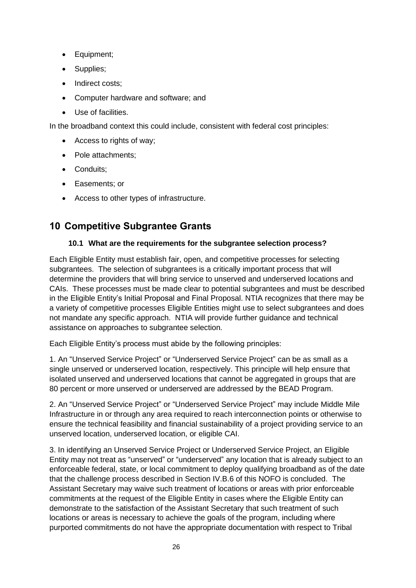- Equipment;
- Supplies;
- Indirect costs;
- Computer hardware and software; and
- Use of facilities.

In the broadband context this could include, consistent with federal cost principles:

- Access to rights of way;
- Pole attachments:
- Conduits;
- Easements; or
- Access to other types of infrastructure.

# <span id="page-25-0"></span>**10 Competitive Subgrantee Grants**

#### **10.1 What are the requirements for the subgrantee selection process?**

Each Eligible Entity must establish fair, open, and competitive processes for selecting subgrantees. The selection of subgrantees is a critically important process that will determine the providers that will bring service to unserved and underserved locations and CAIs. These processes must be made clear to potential subgrantees and must be described in the Eligible Entity's Initial Proposal and Final Proposal. NTIA recognizes that there may be a variety of competitive processes Eligible Entities might use to select subgrantees and does not mandate any specific approach. NTIA will provide further guidance and technical assistance on approaches to subgrantee selection.

Each Eligible Entity's process must abide by the following principles:

1. An "Unserved Service Project" or "Underserved Service Project" can be as small as a single unserved or underserved location, respectively. This principle will help ensure that isolated unserved and underserved locations that cannot be aggregated in groups that are 80 percent or more unserved or underserved are addressed by the BEAD Program.

2. An "Unserved Service Project" or "Underserved Service Project" may include Middle Mile Infrastructure in or through any area required to reach interconnection points or otherwise to ensure the technical feasibility and financial sustainability of a project providing service to an unserved location, underserved location, or eligible CAI.

3. In identifying an Unserved Service Project or Underserved Service Project, an Eligible Entity may not treat as "unserved" or "underserved" any location that is already subject to an enforceable federal, state, or local commitment to deploy qualifying broadband as of the date that the challenge process described in Section IV.B.6 of this NOFO is concluded. The Assistant Secretary may waive such treatment of locations or areas with prior enforceable commitments at the request of the Eligible Entity in cases where the Eligible Entity can demonstrate to the satisfaction of the Assistant Secretary that such treatment of such locations or areas is necessary to achieve the goals of the program, including where purported commitments do not have the appropriate documentation with respect to Tribal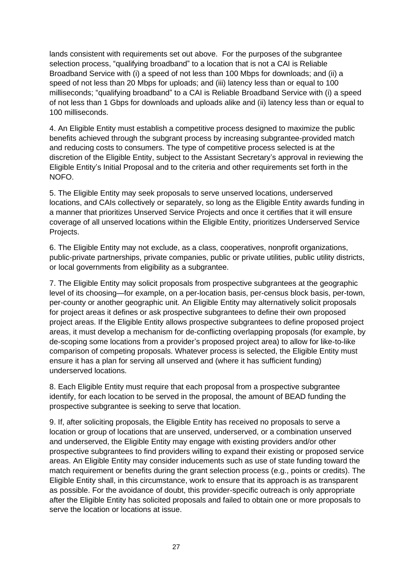lands consistent with requirements set out above. For the purposes of the subgrantee selection process, "qualifying broadband" to a location that is not a CAI is Reliable Broadband Service with (i) a speed of not less than 100 Mbps for downloads; and (ii) a speed of not less than 20 Mbps for uploads; and (iii) latency less than or equal to 100 milliseconds; "qualifying broadband" to a CAI is Reliable Broadband Service with (i) a speed of not less than 1 Gbps for downloads and uploads alike and (ii) latency less than or equal to 100 milliseconds.

4. An Eligible Entity must establish a competitive process designed to maximize the public benefits achieved through the subgrant process by increasing subgrantee-provided match and reducing costs to consumers. The type of competitive process selected is at the discretion of the Eligible Entity, subject to the Assistant Secretary's approval in reviewing the Eligible Entity's Initial Proposal and to the criteria and other requirements set forth in the NOFO.

5. The Eligible Entity may seek proposals to serve unserved locations, underserved locations, and CAIs collectively or separately, so long as the Eligible Entity awards funding in a manner that prioritizes Unserved Service Projects and once it certifies that it will ensure coverage of all unserved locations within the Eligible Entity, prioritizes Underserved Service Projects.

6. The Eligible Entity may not exclude, as a class, cooperatives, nonprofit organizations, public-private partnerships, private companies, public or private utilities, public utility districts, or local governments from eligibility as a subgrantee.

7. The Eligible Entity may solicit proposals from prospective subgrantees at the geographic level of its choosing—for example, on a per-location basis, per-census block basis, per-town, per-county or another geographic unit. An Eligible Entity may alternatively solicit proposals for project areas it defines or ask prospective subgrantees to define their own proposed project areas. If the Eligible Entity allows prospective subgrantees to define proposed project areas, it must develop a mechanism for de-conflicting overlapping proposals (for example, by de-scoping some locations from a provider's proposed project area) to allow for like-to-like comparison of competing proposals. Whatever process is selected, the Eligible Entity must ensure it has a plan for serving all unserved and (where it has sufficient funding) underserved locations.

8. Each Eligible Entity must require that each proposal from a prospective subgrantee identify, for each location to be served in the proposal, the amount of BEAD funding the prospective subgrantee is seeking to serve that location.

9. If, after soliciting proposals, the Eligible Entity has received no proposals to serve a location or group of locations that are unserved, underserved, or a combination unserved and underserved, the Eligible Entity may engage with existing providers and/or other prospective subgrantees to find providers willing to expand their existing or proposed service areas. An Eligible Entity may consider inducements such as use of state funding toward the match requirement or benefits during the grant selection process (e.g., points or credits). The Eligible Entity shall, in this circumstance, work to ensure that its approach is as transparent as possible. For the avoidance of doubt, this provider-specific outreach is only appropriate after the Eligible Entity has solicited proposals and failed to obtain one or more proposals to serve the location or locations at issue.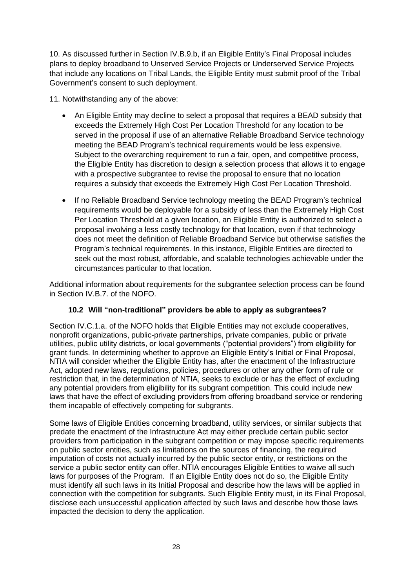10. As discussed further in Section IV.B.9.b, if an Eligible Entity's Final Proposal includes plans to deploy broadband to Unserved Service Projects or Underserved Service Projects that include any locations on Tribal Lands, the Eligible Entity must submit proof of the Tribal Government's consent to such deployment.

11. Notwithstanding any of the above:

- An Eligible Entity may decline to select a proposal that requires a BEAD subsidy that exceeds the Extremely High Cost Per Location Threshold for any location to be served in the proposal if use of an alternative Reliable Broadband Service technology meeting the BEAD Program's technical requirements would be less expensive. Subject to the overarching requirement to run a fair, open, and competitive process, the Eligible Entity has discretion to design a selection process that allows it to engage with a prospective subgrantee to revise the proposal to ensure that no location requires a subsidy that exceeds the Extremely High Cost Per Location Threshold.
- If no Reliable Broadband Service technology meeting the BEAD Program's technical requirements would be deployable for a subsidy of less than the Extremely High Cost Per Location Threshold at a given location, an Eligible Entity is authorized to select a proposal involving a less costly technology for that location, even if that technology does not meet the definition of Reliable Broadband Service but otherwise satisfies the Program's technical requirements. In this instance, Eligible Entities are directed to seek out the most robust, affordable, and scalable technologies achievable under the circumstances particular to that location.

Additional information about requirements for the subgrantee selection process can be found in Section IV.B.7. of the NOFO.

#### **10.2 Will "non-traditional" providers be able to apply as subgrantees?**

Section IV.C.1.a. of the NOFO holds that Eligible Entities may not exclude cooperatives, nonprofit organizations, public-private partnerships, private companies, public or private utilities, public utility districts, or local governments ("potential providers") from eligibility for grant funds. In determining whether to approve an Eligible Entity's Initial or Final Proposal, NTIA will consider whether the Eligible Entity has, after the enactment of the Infrastructure Act, adopted new laws, regulations, policies, procedures or other any other form of rule or restriction that, in the determination of NTIA, seeks to exclude or has the effect of excluding any potential providers from eligibility for its subgrant competition. This could include new laws that have the effect of excluding providers from offering broadband service or rendering them incapable of effectively competing for subgrants.

Some laws of Eligible Entities concerning broadband, utility services, or similar subjects that predate the enactment of the Infrastructure Act may either preclude certain public sector providers from participation in the subgrant competition or may impose specific requirements on public sector entities, such as limitations on the sources of financing, the required imputation of costs not actually incurred by the public sector entity, or restrictions on the service a public sector entity can offer. NTIA encourages Eligible Entities to waive all such laws for purposes of the Program. If an Eligible Entity does not do so, the Eligible Entity must identify all such laws in its Initial Proposal and describe how the laws will be applied in connection with the competition for subgrants. Such Eligible Entity must, in its Final Proposal, disclose each unsuccessful application affected by such laws and describe how those laws impacted the decision to deny the application.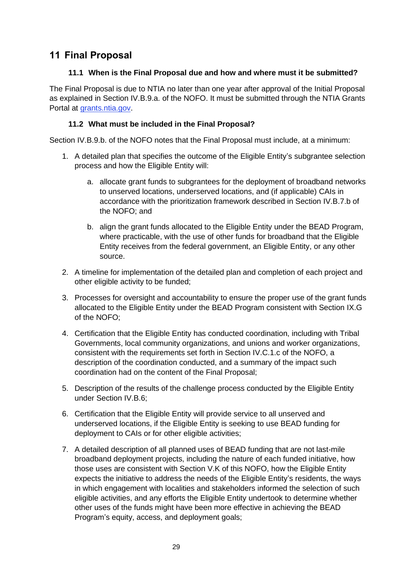# <span id="page-28-0"></span>**11 Final Proposal**

## **11.1 When is the Final Proposal due and how and where must it be submitted?**

The Final Proposal is due to NTIA no later than one year after approval of the Initial Proposal as explained in Section IV.B.9.a. of the NOFO. It must be submitted through the NTIA Grants Portal at [grants.ntia.gov.](https://ntia.sharepoint.com/teams/BIFBroadbandProgramsPlanning-TA/Shared%20Documents/TA/grants.ntia.gov)

## **11.2 What must be included in the Final Proposal?**

Section IV.B.9.b. of the NOFO notes that the Final Proposal must include, at a minimum:

- 1. A detailed plan that specifies the outcome of the Eligible Entity's subgrantee selection process and how the Eligible Entity will:
	- a. allocate grant funds to subgrantees for the deployment of broadband networks to unserved locations, underserved locations, and (if applicable) CAIs in accordance with the prioritization framework described in Section IV.B.7.b of the NOFO; and
	- b. align the grant funds allocated to the Eligible Entity under the BEAD Program, where practicable, with the use of other funds for broadband that the Eligible Entity receives from the federal government, an Eligible Entity, or any other source.
- 2. A timeline for implementation of the detailed plan and completion of each project and other eligible activity to be funded;
- 3. Processes for oversight and accountability to ensure the proper use of the grant funds allocated to the Eligible Entity under the BEAD Program consistent with Section IX.G of the NOFO;
- 4. Certification that the Eligible Entity has conducted coordination, including with Tribal Governments, local community organizations, and unions and worker organizations, consistent with the requirements set forth in Section IV.C.1.c of the NOFO, a description of the coordination conducted, and a summary of the impact such coordination had on the content of the Final Proposal;
- 5. Description of the results of the challenge process conducted by the Eligible Entity under Section IV.B.6;
- 6. Certification that the Eligible Entity will provide service to all unserved and underserved locations, if the Eligible Entity is seeking to use BEAD funding for deployment to CAIs or for other eligible activities;
- 7. A detailed description of all planned uses of BEAD funding that are not last-mile broadband deployment projects, including the nature of each funded initiative, how those uses are consistent with Section V.K of this NOFO, how the Eligible Entity expects the initiative to address the needs of the Eligible Entity's residents, the ways in which engagement with localities and stakeholders informed the selection of such eligible activities, and any efforts the Eligible Entity undertook to determine whether other uses of the funds might have been more effective in achieving the BEAD Program's equity, access, and deployment goals;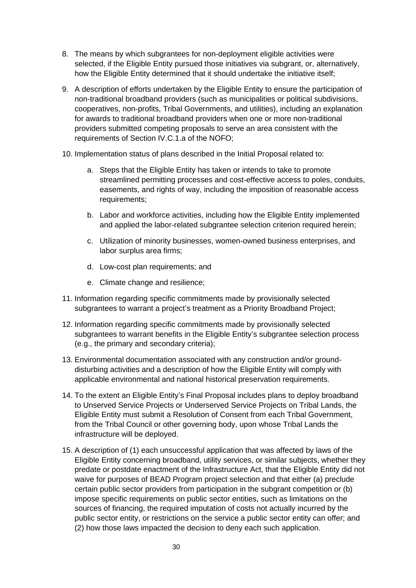- 8. The means by which subgrantees for non-deployment eligible activities were selected, if the Eligible Entity pursued those initiatives via subgrant, or, alternatively, how the Eligible Entity determined that it should undertake the initiative itself;
- 9. A description of efforts undertaken by the Eligible Entity to ensure the participation of non-traditional broadband providers (such as municipalities or political subdivisions, cooperatives, non-profits, Tribal Governments, and utilities), including an explanation for awards to traditional broadband providers when one or more non-traditional providers submitted competing proposals to serve an area consistent with the requirements of Section IV.C.1.a of the NOFO;
- 10. Implementation status of plans described in the Initial Proposal related to:
	- a. Steps that the Eligible Entity has taken or intends to take to promote streamlined permitting processes and cost-effective access to poles, conduits, easements, and rights of way, including the imposition of reasonable access requirements;
	- b. Labor and workforce activities, including how the Eligible Entity implemented and applied the labor-related subgrantee selection criterion required herein;
	- c. Utilization of minority businesses, women-owned business enterprises, and labor surplus area firms;
	- d. Low-cost plan requirements; and
	- e. Climate change and resilience;
- 11. Information regarding specific commitments made by provisionally selected subgrantees to warrant a project's treatment as a Priority Broadband Project;
- 12. Information regarding specific commitments made by provisionally selected subgrantees to warrant benefits in the Eligible Entity's subgrantee selection process (e.g., the primary and secondary criteria);
- 13. Environmental documentation associated with any construction and/or grounddisturbing activities and a description of how the Eligible Entity will comply with applicable environmental and national historical preservation requirements.
- 14. To the extent an Eligible Entity's Final Proposal includes plans to deploy broadband to Unserved Service Projects or Underserved Service Projects on Tribal Lands, the Eligible Entity must submit a Resolution of Consent from each Tribal Government, from the Tribal Council or other governing body, upon whose Tribal Lands the infrastructure will be deployed.
- 15. A description of (1) each unsuccessful application that was affected by laws of the Eligible Entity concerning broadband, utility services, or similar subjects, whether they predate or postdate enactment of the Infrastructure Act, that the Eligible Entity did not waive for purposes of BEAD Program project selection and that either (a) preclude certain public sector providers from participation in the subgrant competition or (b) impose specific requirements on public sector entities, such as limitations on the sources of financing, the required imputation of costs not actually incurred by the public sector entity, or restrictions on the service a public sector entity can offer; and (2) how those laws impacted the decision to deny each such application.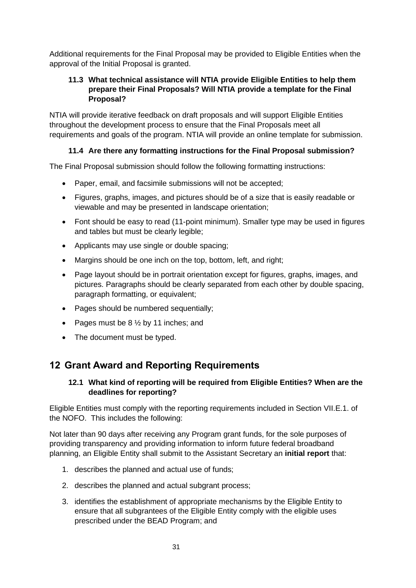Additional requirements for the Final Proposal may be provided to Eligible Entities when the approval of the Initial Proposal is granted.

### **11.3 What technical assistance will NTIA provide Eligible Entities to help them prepare their Final Proposals? Will NTIA provide a template for the Final Proposal?**

NTIA will provide iterative feedback on draft proposals and will support Eligible Entities throughout the development process to ensure that the Final Proposals meet all requirements and goals of the program. NTIA will provide an online template for submission.

## **11.4 Are there any formatting instructions for the Final Proposal submission?**

The Final Proposal submission should follow the following formatting instructions:

- Paper, email, and facsimile submissions will not be accepted;
- Figures, graphs, images, and pictures should be of a size that is easily readable or viewable and may be presented in landscape orientation;
- Font should be easy to read (11-point minimum). Smaller type may be used in figures and tables but must be clearly legible;
- Applicants may use single or double spacing;
- Margins should be one inch on the top, bottom, left, and right;
- Page layout should be in portrait orientation except for figures, graphs, images, and pictures. Paragraphs should be clearly separated from each other by double spacing, paragraph formatting, or equivalent;
- Pages should be numbered sequentially;
- Pages must be  $8\frac{1}{2}$  by 11 inches; and
- The document must be typed.

# <span id="page-30-0"></span>**12 Grant Award and Reporting Requirements**

#### **12.1 What kind of reporting will be required from Eligible Entities? When are the deadlines for reporting?**

Eligible Entities must comply with the reporting requirements included in Section VII.E.1. of the NOFO. This includes the following:

Not later than 90 days after receiving any Program grant funds, for the sole purposes of providing transparency and providing information to inform future federal broadband planning, an Eligible Entity shall submit to the Assistant Secretary an **initial report** that:

- 1. describes the planned and actual use of funds;
- 2. describes the planned and actual subgrant process;
- 3. identifies the establishment of appropriate mechanisms by the Eligible Entity to ensure that all subgrantees of the Eligible Entity comply with the eligible uses prescribed under the BEAD Program; and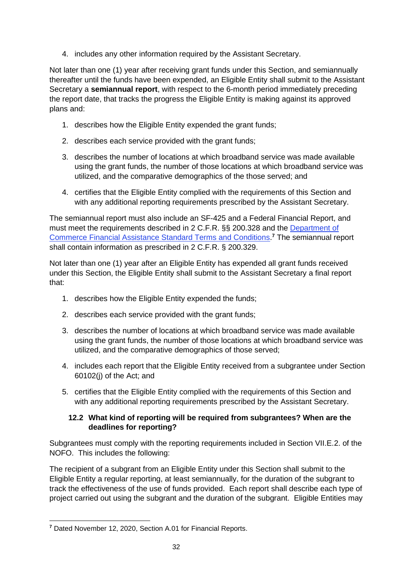4. includes any other information required by the Assistant Secretary.

Not later than one (1) year after receiving grant funds under this Section, and semiannually thereafter until the funds have been expended, an Eligible Entity shall submit to the Assistant Secretary a **semiannual report**, with respect to the 6-month period immediately preceding the report date, that tracks the progress the Eligible Entity is making against its approved plans and:

- 1. describes how the Eligible Entity expended the grant funds;
- 2. describes each service provided with the grant funds;
- 3. describes the number of locations at which broadband service was made available using the grant funds, the number of those locations at which broadband service was utilized, and the comparative demographics of the those served; and
- 4. certifies that the Eligible Entity complied with the requirements of this Section and with any additional reporting requirements prescribed by the Assistant Secretary.

The semiannual report must also include an SF-425 and a Federal Financial Report, and must meet the requirements described in 2 C.F.R. §§ 200.328 and the [Department of](https://www.commerce.gov/sites/default/files/2020-11/DOC%20Standard%20Terms%20and%20Conditions%20-%2012%20November%202020%20PDF_0.pdf)  [Commerce Financial Assistance Standard Terms and Conditions.](https://www.commerce.gov/sites/default/files/2020-11/DOC%20Standard%20Terms%20and%20Conditions%20-%2012%20November%202020%20PDF_0.pdf) **<sup>7</sup>** The semiannual report shall contain information as prescribed in 2 C.F.R. § 200.329.

Not later than one (1) year after an Eligible Entity has expended all grant funds received under this Section, the Eligible Entity shall submit to the Assistant Secretary a final report that:

- 1. describes how the Eligible Entity expended the funds;
- 2. describes each service provided with the grant funds;
- 3. describes the number of locations at which broadband service was made available using the grant funds, the number of those locations at which broadband service was utilized, and the comparative demographics of those served;
- 4. includes each report that the Eligible Entity received from a subgrantee under Section 60102(j) of the Act; and
- 5. certifies that the Eligible Entity complied with the requirements of this Section and with any additional reporting requirements prescribed by the Assistant Secretary.

#### **12.2 What kind of reporting will be required from subgrantees? When are the deadlines for reporting?**

Subgrantees must comply with the reporting requirements included in Section VII.E.2. of the NOFO. This includes the following:

The recipient of a subgrant from an Eligible Entity under this Section shall submit to the Eligible Entity a regular reporting, at least semiannually, for the duration of the subgrant to track the effectiveness of the use of funds provided. Each report shall describe each type of project carried out using the subgrant and the duration of the subgrant. Eligible Entities may

**<sup>7</sup>** Dated November 12, 2020, Section A.01 for Financial Reports.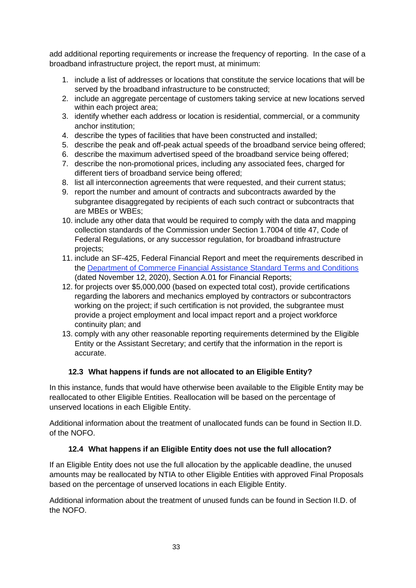add additional reporting requirements or increase the frequency of reporting. In the case of a broadband infrastructure project, the report must, at minimum:

- 1. include a list of addresses or locations that constitute the service locations that will be served by the broadband infrastructure to be constructed;
- 2. include an aggregate percentage of customers taking service at new locations served within each project area;
- 3. identify whether each address or location is residential, commercial, or a community anchor institution;
- 4. describe the types of facilities that have been constructed and installed;
- 5. describe the peak and off-peak actual speeds of the broadband service being offered;
- 6. describe the maximum advertised speed of the broadband service being offered;
- 7. describe the non-promotional prices, including any associated fees, charged for different tiers of broadband service being offered;
- 8. list all interconnection agreements that were requested, and their current status;
- 9. report the number and amount of contracts and subcontracts awarded by the subgrantee disaggregated by recipients of each such contract or subcontracts that are MBEs or WBEs;
- 10. include any other data that would be required to comply with the data and mapping collection standards of the Commission under Section 1.7004 of title 47, Code of Federal Regulations, or any successor regulation, for broadband infrastructure projects;
- 11. include an SF-425, Federal Financial Report and meet the requirements described in the [Department of Commerce Financial Assistance Standard Terms and Conditions](https://www.commerce.gov/sites/default/files/2020-11/DOC%20Standard%20Terms%20and%20Conditions%20-%2012%20November%202020%20PDF_0.pdf) (dated November 12, 2020), Section A.01 for Financial Reports;
- 12. for projects over \$5,000,000 (based on expected total cost), provide certifications regarding the laborers and mechanics employed by contractors or subcontractors working on the project; if such certification is not provided, the subgrantee must provide a project employment and local impact report and a project workforce continuity plan; and
- 13. comply with any other reasonable reporting requirements determined by the Eligible Entity or the Assistant Secretary; and certify that the information in the report is accurate.

#### **12.3 What happens if funds are not allocated to an Eligible Entity?**

In this instance, funds that would have otherwise been available to the Eligible Entity may be reallocated to other Eligible Entities. Reallocation will be based on the percentage of unserved locations in each Eligible Entity.

Additional information about the treatment of unallocated funds can be found in Section II.D. of the NOFO.

#### **12.4 What happens if an Eligible Entity does not use the full allocation?**

If an Eligible Entity does not use the full allocation by the applicable deadline, the unused amounts may be reallocated by NTIA to other Eligible Entities with approved Final Proposals based on the percentage of unserved locations in each Eligible Entity.

Additional information about the treatment of unused funds can be found in Section II.D. of the NOFO.